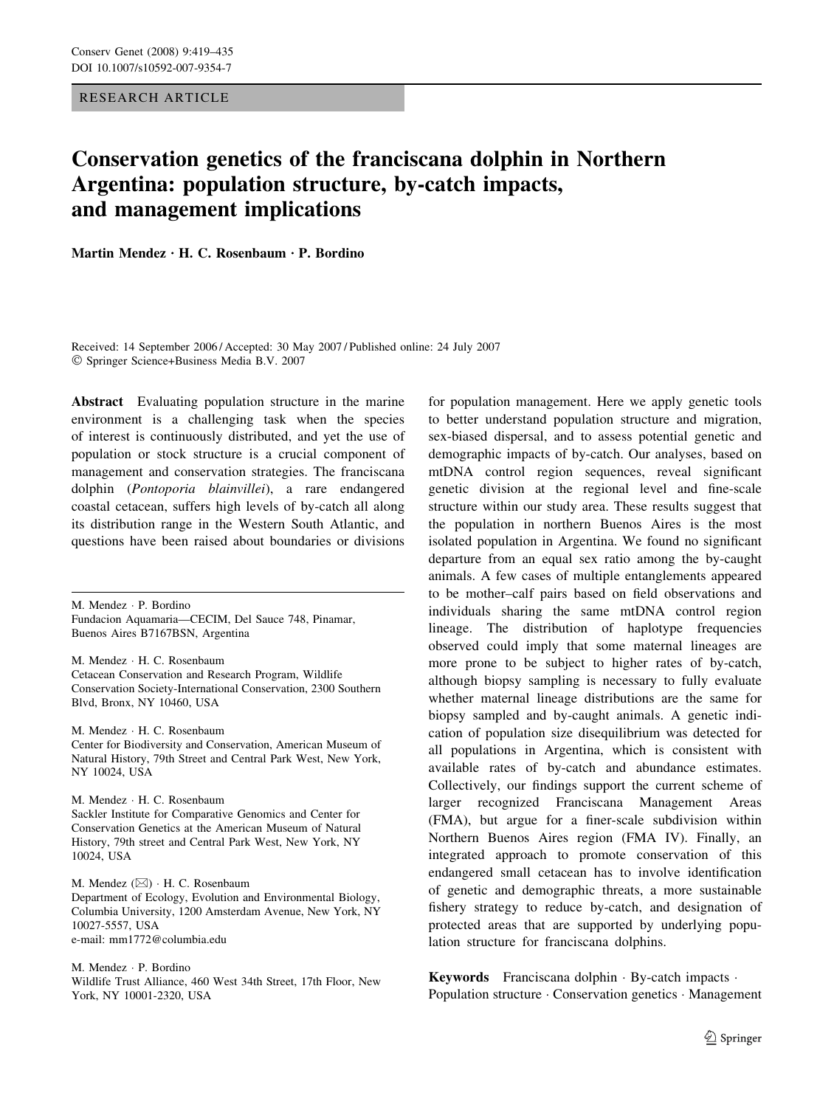RESEARCH ARTICLE

# Conservation genetics of the franciscana dolphin in Northern Argentina: population structure, by-catch impacts, and management implications

Martin Mendez · H. C. Rosenbaum · P. Bordino

Received: 14 September 2006 / Accepted: 30 May 2007 / Published online: 24 July 2007 Springer Science+Business Media B.V. 2007

Abstract Evaluating population structure in the marine environment is a challenging task when the species of interest is continuously distributed, and yet the use of population or stock structure is a crucial component of management and conservation strategies. The franciscana dolphin (Pontoporia blainvillei), a rare endangered coastal cetacean, suffers high levels of by-catch all along its distribution range in the Western South Atlantic, and questions have been raised about boundaries or divisions

M. Mendez · P. Bordino Fundacion Aquamaria—CECIM, Del Sauce 748, Pinamar, Buenos Aires B7167BSN, Argentina

M. Mendez · H. C. Rosenbaum Cetacean Conservation and Research Program, Wildlife Conservation Society-International Conservation, 2300 Southern Blvd, Bronx, NY 10460, USA

M. Mendez · H. C. Rosenbaum Center for Biodiversity and Conservation, American Museum of Natural History, 79th Street and Central Park West, New York, NY 10024, USA

M. Mendez · H. C. Rosenbaum Sackler Institute for Comparative Genomics and Center for Conservation Genetics at the American Museum of Natural History, 79th street and Central Park West, New York, NY 10024, USA

M. Mendez ( $\boxtimes$ ) · H. C. Rosenbaum Department of Ecology, Evolution and Environmental Biology, Columbia University, 1200 Amsterdam Avenue, New York, NY 10027-5557, USA e-mail: mm1772@columbia.edu

M. Mendez · P. Bordino Wildlife Trust Alliance, 460 West 34th Street, 17th Floor, New York, NY 10001-2320, USA

for population management. Here we apply genetic tools to better understand population structure and migration, sex-biased dispersal, and to assess potential genetic and demographic impacts of by-catch. Our analyses, based on mtDNA control region sequences, reveal significant genetic division at the regional level and fine-scale structure within our study area. These results suggest that the population in northern Buenos Aires is the most isolated population in Argentina. We found no significant departure from an equal sex ratio among the by-caught animals. A few cases of multiple entanglements appeared to be mother–calf pairs based on field observations and individuals sharing the same mtDNA control region lineage. The distribution of haplotype frequencies observed could imply that some maternal lineages are more prone to be subject to higher rates of by-catch, although biopsy sampling is necessary to fully evaluate whether maternal lineage distributions are the same for biopsy sampled and by-caught animals. A genetic indication of population size disequilibrium was detected for all populations in Argentina, which is consistent with available rates of by-catch and abundance estimates. Collectively, our findings support the current scheme of larger recognized Franciscana Management Areas (FMA), but argue for a finer-scale subdivision within Northern Buenos Aires region (FMA IV). Finally, an integrated approach to promote conservation of this endangered small cetacean has to involve identification of genetic and demographic threats, a more sustainable fishery strategy to reduce by-catch, and designation of protected areas that are supported by underlying population structure for franciscana dolphins.

Keywords Franciscana dolphin  $\cdot$  By-catch impacts  $\cdot$ Population structure · Conservation genetics · Management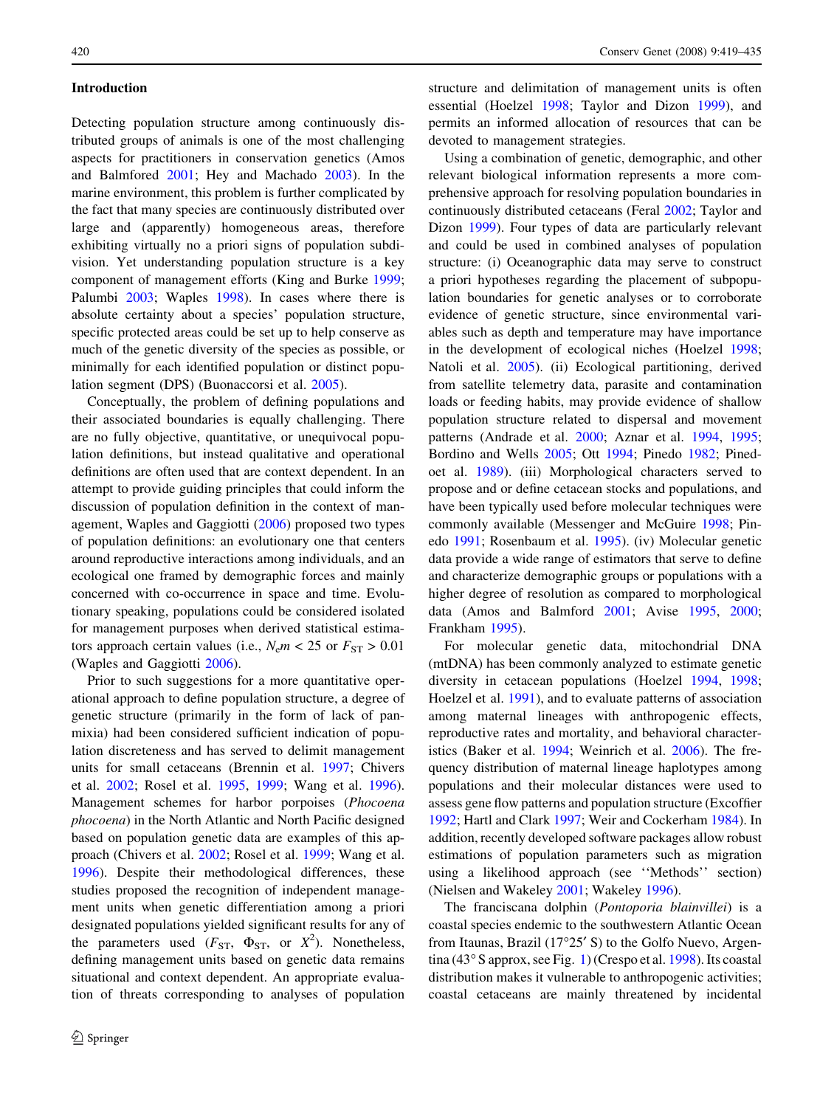## Introduction

Detecting population structure among continuously distributed groups of animals is one of the most challenging aspects for practitioners in conservation genetics (Amos and Balmfored [2001](#page-13-0); Hey and Machado [2003\)](#page-14-0). In the marine environment, this problem is further complicated by the fact that many species are continuously distributed over large and (apparently) homogeneous areas, therefore exhibiting virtually no a priori signs of population subdivision. Yet understanding population structure is a key component of management efforts (King and Burke [1999](#page-15-0); Palumbi [2003](#page-15-0); Waples [1998](#page-16-0)). In cases where there is absolute certainty about a species' population structure, specific protected areas could be set up to help conserve as much of the genetic diversity of the species as possible, or minimally for each identified population or distinct population segment (DPS) (Buonaccorsi et al. [2005](#page-14-0)).

Conceptually, the problem of defining populations and their associated boundaries is equally challenging. There are no fully objective, quantitative, or unequivocal population definitions, but instead qualitative and operational definitions are often used that are context dependent. In an attempt to provide guiding principles that could inform the discussion of population definition in the context of management, Waples and Gaggiotti ([2006\)](#page-16-0) proposed two types of population definitions: an evolutionary one that centers around reproductive interactions among individuals, and an ecological one framed by demographic forces and mainly concerned with co-occurrence in space and time. Evolutionary speaking, populations could be considered isolated for management purposes when derived statistical estimators approach certain values (i.e.,  $N_{\rm e}m < 25$  or  $F_{\rm ST} > 0.01$ (Waples and Gaggiotti [2006\)](#page-16-0).

Prior to such suggestions for a more quantitative operational approach to define population structure, a degree of genetic structure (primarily in the form of lack of panmixia) had been considered sufficient indication of population discreteness and has served to delimit management units for small cetaceans (Brennin et al. [1997;](#page-14-0) Chivers et al. [2002;](#page-14-0) Rosel et al. [1995,](#page-15-0) [1999;](#page-15-0) Wang et al. [1996](#page-16-0)). Management schemes for harbor porpoises (Phocoena phocoena) in the North Atlantic and North Pacific designed based on population genetic data are examples of this approach (Chivers et al. [2002;](#page-14-0) Rosel et al. [1999](#page-15-0); Wang et al. [1996\)](#page-16-0). Despite their methodological differences, these studies proposed the recognition of independent management units when genetic differentiation among a priori designated populations yielded significant results for any of the parameters used  $(F_{ST}, \Phi_{ST}, \text{or } X^2)$ . Nonetheless, defining management units based on genetic data remains situational and context dependent. An appropriate evaluation of threats corresponding to analyses of population structure and delimitation of management units is often essential (Hoelzel [1998;](#page-14-0) Taylor and Dizon [1999](#page-15-0)), and permits an informed allocation of resources that can be devoted to management strategies.

Using a combination of genetic, demographic, and other relevant biological information represents a more comprehensive approach for resolving population boundaries in continuously distributed cetaceans (Feral [2002;](#page-14-0) Taylor and Dizon [1999\)](#page-15-0). Four types of data are particularly relevant and could be used in combined analyses of population structure: (i) Oceanographic data may serve to construct a priori hypotheses regarding the placement of subpopulation boundaries for genetic analyses or to corroborate evidence of genetic structure, since environmental variables such as depth and temperature may have importance in the development of ecological niches (Hoelzel [1998](#page-14-0); Natoli et al. [2005](#page-15-0)). (ii) Ecological partitioning, derived from satellite telemetry data, parasite and contamination loads or feeding habits, may provide evidence of shallow population structure related to dispersal and movement patterns (Andrade et al. [2000](#page-13-0); Aznar et al. [1994,](#page-13-0) [1995](#page-13-0); Bordino and Wells [2005;](#page-14-0) Ott [1994;](#page-15-0) Pinedo [1982](#page-15-0); Pinedoet al. [1989\)](#page-15-0). (iii) Morphological characters served to propose and or define cetacean stocks and populations, and have been typically used before molecular techniques were commonly available (Messenger and McGuire [1998](#page-15-0); Pinedo [1991;](#page-15-0) Rosenbaum et al. [1995\)](#page-15-0). (iv) Molecular genetic data provide a wide range of estimators that serve to define and characterize demographic groups or populations with a higher degree of resolution as compared to morphological data (Amos and Balmford [2001](#page-13-0); Avise [1995,](#page-13-0) [2000](#page-13-0); Frankham [1995\)](#page-14-0).

For molecular genetic data, mitochondrial DNA (mtDNA) has been commonly analyzed to estimate genetic diversity in cetacean populations (Hoelzel [1994](#page-14-0), [1998](#page-14-0); Hoelzel et al. [1991\)](#page-14-0), and to evaluate patterns of association among maternal lineages with anthropogenic effects, reproductive rates and mortality, and behavioral characteristics (Baker et al. [1994;](#page-13-0) Weinrich et al. [2006\)](#page-16-0). The frequency distribution of maternal lineage haplotypes among populations and their molecular distances were used to assess gene flow patterns and population structure (Excoffier [1992](#page-14-0); Hartl and Clark [1997](#page-14-0); Weir and Cockerham [1984\)](#page-16-0). In addition, recently developed software packages allow robust estimations of population parameters such as migration using a likelihood approach (see ''Methods'' section) (Nielsen and Wakeley [2001;](#page-15-0) Wakeley [1996\)](#page-16-0).

The franciscana dolphin (Pontoporia blainvillei) is a coastal species endemic to the southwestern Atlantic Ocean from Itaunas, Brazil  $(17^{\circ}25' S)$  to the Golfo Nuevo, Argen-tina (43° S approx, see Fig. [1](#page-2-0)) (Crespo et al. [1998](#page-14-0)). Its coastal distribution makes it vulnerable to anthropogenic activities; coastal cetaceans are mainly threatened by incidental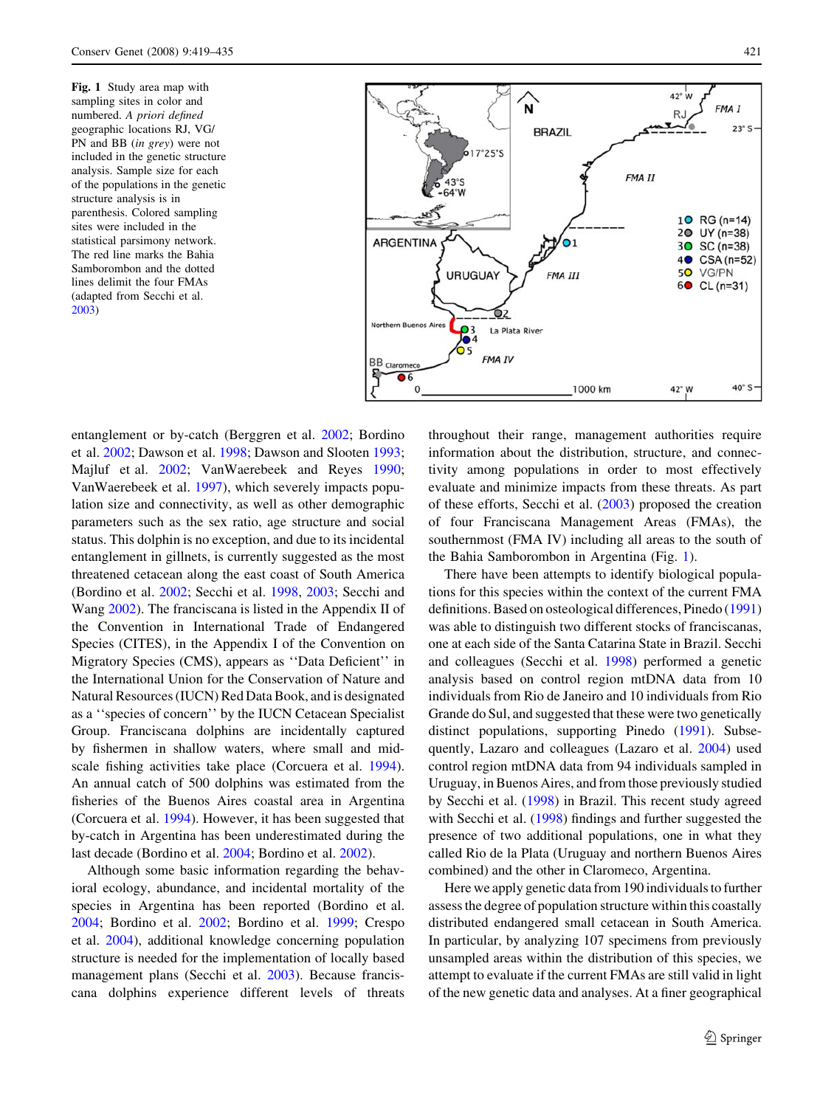<span id="page-2-0"></span>Fig. 1 Study area map with sampling sites in color and numbered. A priori defined geographic locations RJ, VG/ PN and BB (in grey) were not included in the genetic structure analysis. Sample size for each of the populations in the genetic structure analysis is in parenthesis. Colored sampling sites were included in the statistical parsimony network. The red line marks the Bahia Samborombon and the dotted lines delimit the four FMAs (adapted from Secchi et al. [2003\)](#page-15-0)



entanglement or by-catch (Berggren et al. [2002](#page-13-0); Bordino et al. [2002;](#page-14-0) Dawson et al. [1998;](#page-14-0) Dawson and Slooten [1993](#page-14-0); Majluf et al. [2002](#page-15-0); VanWaerebeek and Reyes [1990](#page-16-0); VanWaerebeek et al. [1997](#page-16-0)), which severely impacts population size and connectivity, as well as other demographic parameters such as the sex ratio, age structure and social status. This dolphin is no exception, and due to its incidental entanglement in gillnets, is currently suggested as the most threatened cetacean along the east coast of South America (Bordino et al. [2002;](#page-14-0) Secchi et al. [1998](#page-15-0), [2003;](#page-15-0) Secchi and Wang [2002](#page-15-0)). The franciscana is listed in the Appendix II of the Convention in International Trade of Endangered Species (CITES), in the Appendix I of the Convention on Migratory Species (CMS), appears as ''Data Deficient'' in the International Union for the Conservation of Nature and Natural Resources (IUCN) Red Data Book, and is designated as a ''species of concern'' by the IUCN Cetacean Specialist Group. Franciscana dolphins are incidentally captured by fishermen in shallow waters, where small and midscale fishing activities take place (Corcuera et al. [1994](#page-14-0)). An annual catch of 500 dolphins was estimated from the fisheries of the Buenos Aires coastal area in Argentina (Corcuera et al. [1994\)](#page-14-0). However, it has been suggested that by-catch in Argentina has been underestimated during the last decade (Bordino et al. [2004](#page-14-0); Bordino et al. [2002\)](#page-14-0).

Although some basic information regarding the behavioral ecology, abundance, and incidental mortality of the species in Argentina has been reported (Bordino et al. [2004;](#page-14-0) Bordino et al. [2002;](#page-14-0) Bordino et al. [1999](#page-14-0); Crespo et al. [2004](#page-14-0)), additional knowledge concerning population structure is needed for the implementation of locally based management plans (Secchi et al. [2003\)](#page-15-0). Because franciscana dolphins experience different levels of threats

throughout their range, management authorities require information about the distribution, structure, and connectivity among populations in order to most effectively evaluate and minimize impacts from these threats. As part of these efforts, Secchi et al. [\(2003](#page-15-0)) proposed the creation of four Franciscana Management Areas (FMAs), the southernmost (FMA IV) including all areas to the south of the Bahia Samborombon in Argentina (Fig. 1).

There have been attempts to identify biological populations for this species within the context of the current FMA definitions. Based on osteological differences, Pinedo ([1991\)](#page-15-0) was able to distinguish two different stocks of franciscanas, one at each side of the Santa Catarina State in Brazil. Secchi and colleagues (Secchi et al. [1998\)](#page-15-0) performed a genetic analysis based on control region mtDNA data from 10 individuals from Rio de Janeiro and 10 individuals from Rio Grande do Sul, and suggested that these were two genetically distinct populations, supporting Pinedo ([1991\)](#page-15-0). Subsequently, Lazaro and colleagues (Lazaro et al. [2004\)](#page-15-0) used control region mtDNA data from 94 individuals sampled in Uruguay, in Buenos Aires, and from those previously studied by Secchi et al. [\(1998](#page-15-0)) in Brazil. This recent study agreed with Secchi et al. [\(1998](#page-15-0)) findings and further suggested the presence of two additional populations, one in what they called Rio de la Plata (Uruguay and northern Buenos Aires combined) and the other in Claromeco, Argentina.

Here we apply genetic data from 190 individuals to further assess the degree of population structure within this coastally distributed endangered small cetacean in South America. In particular, by analyzing 107 specimens from previously unsampled areas within the distribution of this species, we attempt to evaluate if the current FMAs are still valid in light of the new genetic data and analyses. At a finer geographical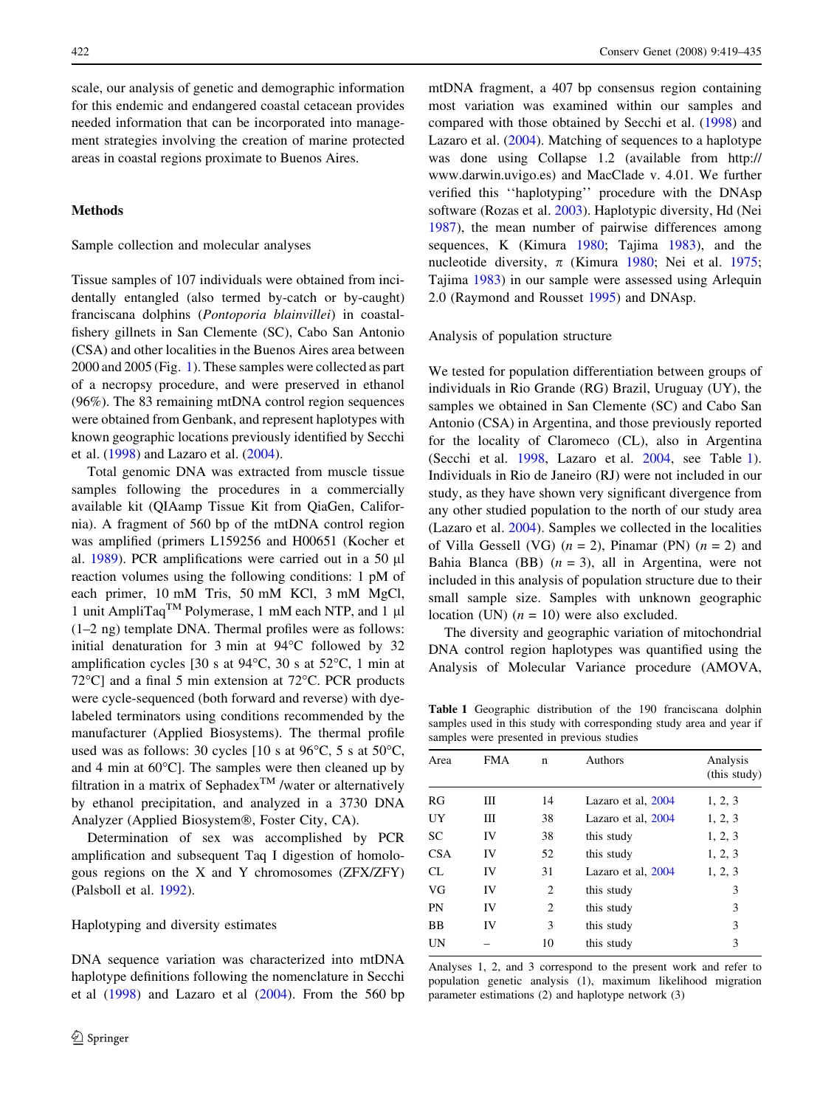<span id="page-3-0"></span>scale, our analysis of genetic and demographic information for this endemic and endangered coastal cetacean provides needed information that can be incorporated into management strategies involving the creation of marine protected areas in coastal regions proximate to Buenos Aires.

## Methods

### Sample collection and molecular analyses

Tissue samples of 107 individuals were obtained from incidentally entangled (also termed by-catch or by-caught) franciscana dolphins (Pontoporia blainvillei) in coastalfishery gillnets in San Clemente (SC), Cabo San Antonio (CSA) and other localities in the Buenos Aires area between 2000 and 2005 (Fig. [1\)](#page-2-0). These samples were collected as part of a necropsy procedure, and were preserved in ethanol (96%). The 83 remaining mtDNA control region sequences were obtained from Genbank, and represent haplotypes with known geographic locations previously identified by Secchi et al. [\(1998](#page-15-0)) and Lazaro et al. [\(2004](#page-15-0)).

Total genomic DNA was extracted from muscle tissue samples following the procedures in a commercially available kit (QIAamp Tissue Kit from QiaGen, California). A fragment of 560 bp of the mtDNA control region was amplified (primers L159256 and H00651 (Kocher et al. [1989](#page-15-0)). PCR amplifications were carried out in a 50 µl reaction volumes using the following conditions: 1 pM of each primer, 10 mM Tris, 50 mM KCl, 3 mM MgCl, 1 unit AmpliTaq<sup>TM</sup> Polymerase, 1 mM each NTP, and 1 µl (1–2 ng) template DNA. Thermal profiles were as follows: initial denaturation for 3 min at  $94^{\circ}$ C followed by 32 amplification cycles [30 s at 94 $\degree$ C, 30 s at 52 $\degree$ C, 1 min at  $72^{\circ}$ C] and a final 5 min extension at  $72^{\circ}$ C. PCR products were cycle-sequenced (both forward and reverse) with dyelabeled terminators using conditions recommended by the manufacturer (Applied Biosystems). The thermal profile used was as follows: 30 cycles [10 s at  $96^{\circ}$ C, 5 s at  $50^{\circ}$ C, and 4 min at  $60^{\circ}$ C]. The samples were then cleaned up by filtration in a matrix of Sephadex<sup>TM</sup> /water or alternatively by ethanol precipitation, and analyzed in a 3730 DNA Analyzer (Applied Biosystem®, Foster City, CA).

Determination of sex was accomplished by PCR amplification and subsequent Taq I digestion of homologous regions on the X and Y chromosomes (ZFX/ZFY) (Palsboll et al. [1992\)](#page-15-0).

### Haplotyping and diversity estimates

DNA sequence variation was characterized into mtDNA haplotype definitions following the nomenclature in Secchi et al [\(1998](#page-15-0)) and Lazaro et al [\(2004](#page-15-0)). From the 560 bp mtDNA fragment, a 407 bp consensus region containing most variation was examined within our samples and compared with those obtained by Secchi et al. [\(1998](#page-15-0)) and Lazaro et al. [\(2004](#page-15-0)). Matching of sequences to a haplotype was done using Collapse 1.2 (available from http:// www.darwin.uvigo.es) and MacClade v. 4.01. We further verified this ''haplotyping'' procedure with the DNAsp software (Rozas et al. [2003](#page-15-0)). Haplotypic diversity, Hd (Nei [1987](#page-15-0)), the mean number of pairwise differences among sequences, K (Kimura [1980;](#page-15-0) Tajima [1983](#page-15-0)), and the nucleotide diversity,  $\pi$  (Kimura [1980](#page-15-0); Nei et al. [1975](#page-15-0); Tajima [1983\)](#page-15-0) in our sample were assessed using Arlequin 2.0 (Raymond and Rousset [1995](#page-15-0)) and DNAsp.

#### Analysis of population structure

We tested for population differentiation between groups of individuals in Rio Grande (RG) Brazil, Uruguay (UY), the samples we obtained in San Clemente (SC) and Cabo San Antonio (CSA) in Argentina, and those previously reported for the locality of Claromeco (CL), also in Argentina (Secchi et al. [1998](#page-15-0), Lazaro et al. [2004](#page-15-0), see Table 1). Individuals in Rio de Janeiro (RJ) were not included in our study, as they have shown very significant divergence from any other studied population to the north of our study area (Lazaro et al. [2004](#page-15-0)). Samples we collected in the localities of Villa Gessell (VG)  $(n = 2)$ , Pinamar (PN)  $(n = 2)$  and Bahia Blanca (BB)  $(n = 3)$ , all in Argentina, were not included in this analysis of population structure due to their small sample size. Samples with unknown geographic location (UN)  $(n = 10)$  were also excluded.

The diversity and geographic variation of mitochondrial DNA control region haplotypes was quantified using the Analysis of Molecular Variance procedure (AMOVA,

Table 1 Geographic distribution of the 190 franciscana dolphin samples used in this study with corresponding study area and year if samples were presented in previous studies

| Area       | <b>FMA</b> | n              | Authors            | Analysis<br>(this study) |
|------------|------------|----------------|--------------------|--------------------------|
| RG         | Ш          | 14             | Lazaro et al, 2004 | 1, 2, 3                  |
| <b>UY</b>  | Ш          | 38             | Lazaro et al, 2004 | 1, 2, 3                  |
| <b>SC</b>  | IV         | 38             | this study         | 1, 2, 3                  |
| <b>CSA</b> | IV         | 52             | this study         | 1, 2, 3                  |
| CL         | IV         | 31             | Lazaro et al, 2004 | 1, 2, 3                  |
| VG         | IV         | 2              | this study         | 3                        |
| PN         | IV         | $\mathfrak{2}$ | this study         | 3                        |
| <b>BB</b>  | IV         | 3              | this study         | 3                        |
| UN         |            | 10             | this study         | 3                        |

Analyses 1, 2, and 3 correspond to the present work and refer to population genetic analysis (1), maximum likelihood migration parameter estimations (2) and haplotype network (3)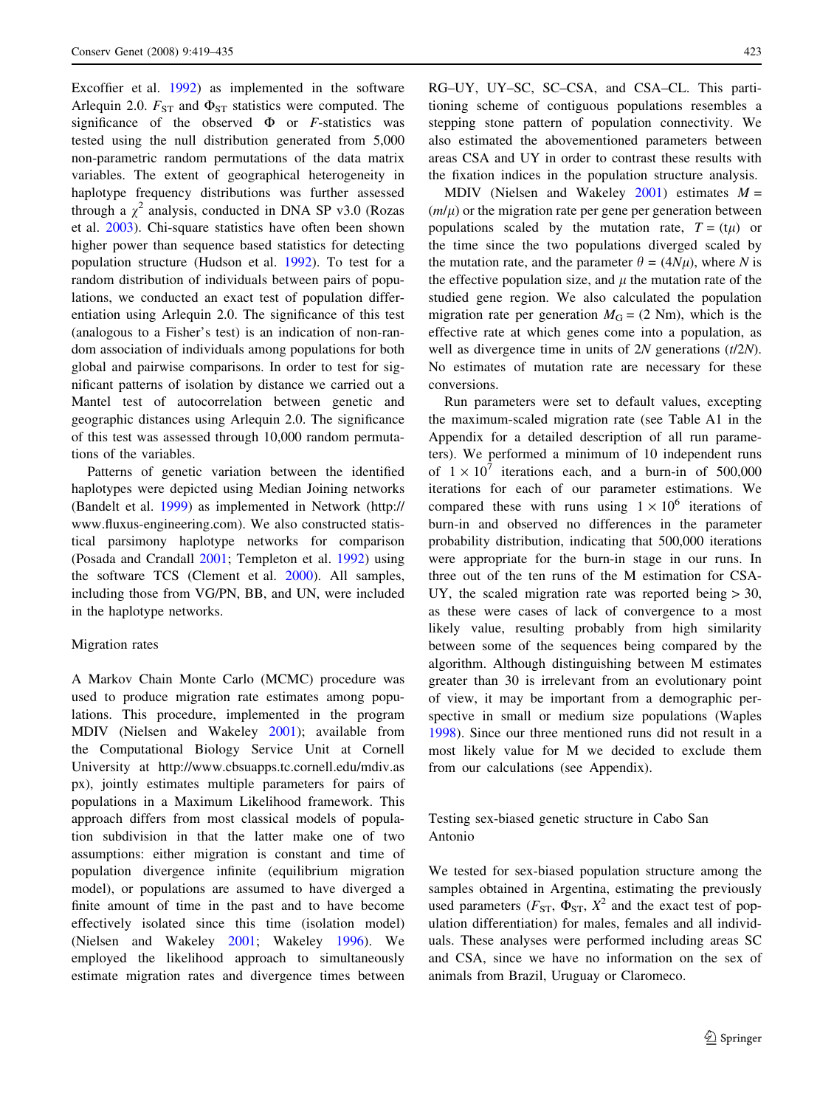Excoffier et al. [1992\)](#page-14-0) as implemented in the software Arlequin 2.0.  $F_{ST}$  and  $\Phi_{ST}$  statistics were computed. The significance of the observed  $\Phi$  or *F*-statistics was tested using the null distribution generated from 5,000 non-parametric random permutations of the data matrix variables. The extent of geographical heterogeneity in haplotype frequency distributions was further assessed through a  $\chi^2$  analysis, conducted in DNA SP v3.0 (Rozas et al. [2003\)](#page-15-0). Chi-square statistics have often been shown higher power than sequence based statistics for detecting population structure (Hudson et al. [1992\)](#page-14-0). To test for a random distribution of individuals between pairs of populations, we conducted an exact test of population differentiation using Arlequin 2.0. The significance of this test (analogous to a Fisher's test) is an indication of non-random association of individuals among populations for both global and pairwise comparisons. In order to test for significant patterns of isolation by distance we carried out a Mantel test of autocorrelation between genetic and geographic distances using Arlequin 2.0. The significance of this test was assessed through 10,000 random permutations of the variables.

Patterns of genetic variation between the identified haplotypes were depicted using Median Joining networks (Bandelt et al. [1999](#page-13-0)) as implemented in Network (http:// www.fluxus-engineering.com). We also constructed statistical parsimony haplotype networks for comparison (Posada and Crandall [2001;](#page-15-0) Templeton et al. [1992\)](#page-15-0) using the software TCS (Clement et al. [2000\)](#page-14-0). All samples, including those from VG/PN, BB, and UN, were included in the haplotype networks.

#### Migration rates

A Markov Chain Monte Carlo (MCMC) procedure was used to produce migration rate estimates among populations. This procedure, implemented in the program MDIV (Nielsen and Wakeley [2001](#page-15-0)); available from the Computational Biology Service Unit at Cornell University at http://www.cbsuapps.tc.cornell.edu/mdiv.as px), jointly estimates multiple parameters for pairs of populations in a Maximum Likelihood framework. This approach differs from most classical models of population subdivision in that the latter make one of two assumptions: either migration is constant and time of population divergence infinite (equilibrium migration model), or populations are assumed to have diverged a finite amount of time in the past and to have become effectively isolated since this time (isolation model) (Nielsen and Wakeley [2001;](#page-15-0) Wakeley [1996](#page-16-0)). We employed the likelihood approach to simultaneously estimate migration rates and divergence times between RG–UY, UY–SC, SC–CSA, and CSA–CL. This partitioning scheme of contiguous populations resembles a stepping stone pattern of population connectivity. We also estimated the abovementioned parameters between areas CSA and UY in order to contrast these results with the fixation indices in the population structure analysis.

MDIV (Nielsen and Wakeley  $2001$ ) estimates  $M =$  $(m/\mu)$  or the migration rate per generation between populations scaled by the mutation rate,  $T = (t\mu)$  or the time since the two populations diverged scaled by the mutation rate, and the parameter  $\theta = (4N\mu)$ , where N is the effective population size, and  $\mu$  the mutation rate of the studied gene region. We also calculated the population migration rate per generation  $M<sub>G</sub> = (2 Nm)$ , which is the effective rate at which genes come into a population, as well as divergence time in units of 2N generations (t/2N). No estimates of mutation rate are necessary for these conversions.

Run parameters were set to default values, excepting the maximum-scaled migration rate (see Table A1 in the Appendix for a detailed description of all run parameters). We performed a minimum of 10 independent runs of  $1 \times 10^7$  iterations each, and a burn-in of 500,000 iterations for each of our parameter estimations. We compared these with runs using  $1 \times 10^6$  iterations of burn-in and observed no differences in the parameter probability distribution, indicating that 500,000 iterations were appropriate for the burn-in stage in our runs. In three out of the ten runs of the M estimation for CSA-UY, the scaled migration rate was reported being > 30, as these were cases of lack of convergence to a most likely value, resulting probably from high similarity between some of the sequences being compared by the algorithm. Although distinguishing between M estimates greater than 30 is irrelevant from an evolutionary point of view, it may be important from a demographic perspective in small or medium size populations (Waples [1998](#page-16-0)). Since our three mentioned runs did not result in a most likely value for M we decided to exclude them from our calculations (see Appendix).

## Testing sex-biased genetic structure in Cabo San Antonio

We tested for sex-biased population structure among the samples obtained in Argentina, estimating the previously used parameters ( $F_{ST}$ ,  $\Phi_{ST}$ ,  $X^2$  and the exact test of population differentiation) for males, females and all individuals. These analyses were performed including areas SC and CSA, since we have no information on the sex of animals from Brazil, Uruguay or Claromeco.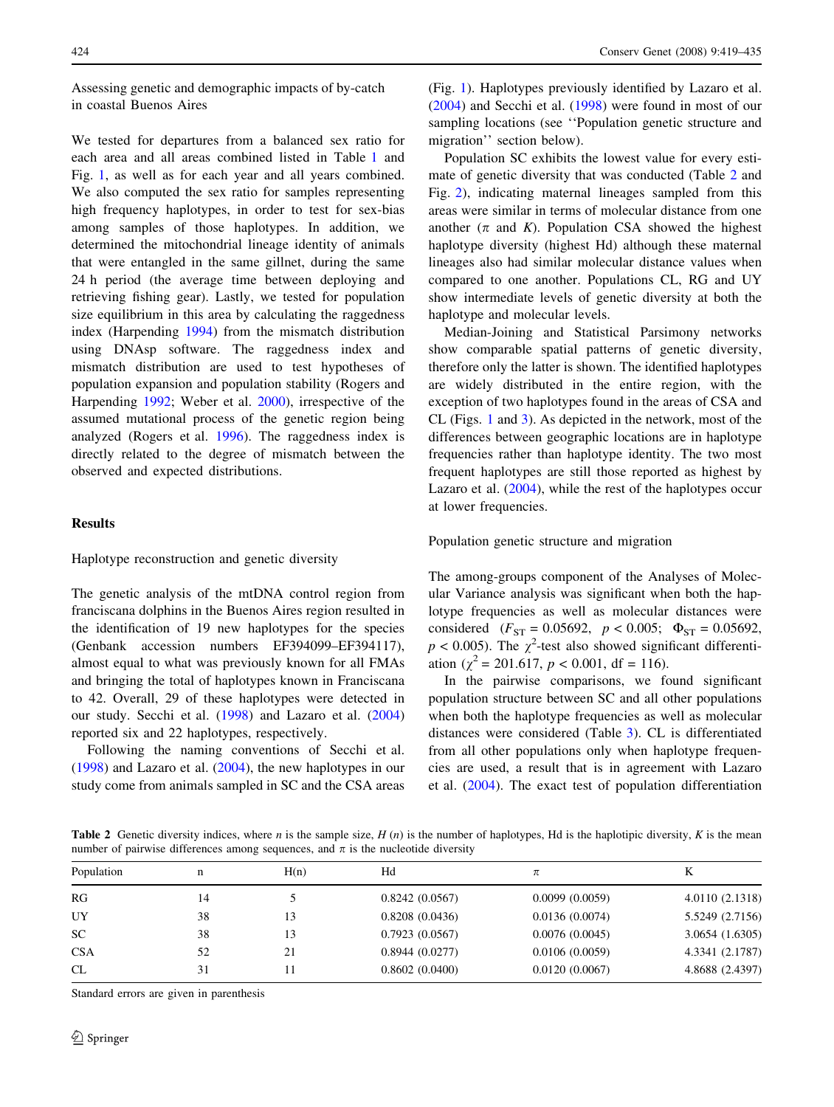Assessing genetic and demographic impacts of by-catch in coastal Buenos Aires

We tested for departures from a balanced sex ratio for each area and all areas combined listed in Table [1](#page-3-0) and Fig. [1](#page-2-0), as well as for each year and all years combined. We also computed the sex ratio for samples representing high frequency haplotypes, in order to test for sex-bias among samples of those haplotypes. In addition, we determined the mitochondrial lineage identity of animals that were entangled in the same gillnet, during the same 24 h period (the average time between deploying and retrieving fishing gear). Lastly, we tested for population size equilibrium in this area by calculating the raggedness index (Harpending [1994](#page-14-0)) from the mismatch distribution using DNAsp software. The raggedness index and mismatch distribution are used to test hypotheses of population expansion and population stability (Rogers and Harpending [1992](#page-15-0); Weber et al. [2000\)](#page-16-0), irrespective of the assumed mutational process of the genetic region being analyzed (Rogers et al. [1996\)](#page-15-0). The raggedness index is directly related to the degree of mismatch between the observed and expected distributions.

#### **Results**

#### Haplotype reconstruction and genetic diversity

The genetic analysis of the mtDNA control region from franciscana dolphins in the Buenos Aires region resulted in the identification of 19 new haplotypes for the species (Genbank accession numbers EF394099–EF394117), almost equal to what was previously known for all FMAs and bringing the total of haplotypes known in Franciscana to 42. Overall, 29 of these haplotypes were detected in our study. Secchi et al. ([1998\)](#page-15-0) and Lazaro et al. ([2004\)](#page-15-0) reported six and 22 haplotypes, respectively.

Following the naming conventions of Secchi et al. [\(1998](#page-15-0)) and Lazaro et al. [\(2004](#page-15-0)), the new haplotypes in our study come from animals sampled in SC and the CSA areas (Fig. [1\)](#page-2-0). Haplotypes previously identified by Lazaro et al. [\(2004](#page-15-0)) and Secchi et al. [\(1998](#page-15-0)) were found in most of our sampling locations (see ''Population genetic structure and migration'' section below).

Population SC exhibits the lowest value for every estimate of genetic diversity that was conducted (Table 2 and Fig. [2](#page-6-0)), indicating maternal lineages sampled from this areas were similar in terms of molecular distance from one another ( $\pi$  and K). Population CSA showed the highest haplotype diversity (highest Hd) although these maternal lineages also had similar molecular distance values when compared to one another. Populations CL, RG and UY show intermediate levels of genetic diversity at both the haplotype and molecular levels.

Median-Joining and Statistical Parsimony networks show comparable spatial patterns of genetic diversity, therefore only the latter is shown. The identified haplotypes are widely distributed in the entire region, with the exception of two haplotypes found in the areas of CSA and CL (Figs. [1](#page-2-0) and [3](#page-6-0)). As depicted in the network, most of the differences between geographic locations are in haplotype frequencies rather than haplotype identity. The two most frequent haplotypes are still those reported as highest by Lazaro et al. [\(2004](#page-15-0)), while the rest of the haplotypes occur at lower frequencies.

Population genetic structure and migration

The among-groups component of the Analyses of Molecular Variance analysis was significant when both the haplotype frequencies as well as molecular distances were considered  $(F_{ST} = 0.05692, p < 0.005; \Phi_{ST} = 0.05692,$  $p < 0.005$ ). The  $\chi^2$ -test also showed significant differentiation ( $\chi^2$  = 201.617,  $p < 0.001$ , df = 116).

In the pairwise comparisons, we found significant population structure between SC and all other populations when both the haplotype frequencies as well as molecular distances were considered (Table [3\)](#page-6-0). CL is differentiated from all other populations only when haplotype frequencies are used, a result that is in agreement with Lazaro et al. [\(2004\)](#page-15-0). The exact test of population differentiation

**Table 2** Genetic diversity indices, where n is the sample size,  $H(n)$  is the number of haplotypes, Hd is the haplotipic diversity, K is the mean number of pairwise differences among sequences, and  $\pi$  is the nucleotide diversity

| Population | n  | H(n) | Hd             | π              | K               |
|------------|----|------|----------------|----------------|-----------------|
| RG         | 14 |      | 0.8242(0.0567) | 0.0099(0.0059) | 4.0110 (2.1318) |
| UY         | 38 | 13   | 0.8208(0.0436) | 0.0136(0.0074) | 5.5249 (2.7156) |
| <b>SC</b>  | 38 | 13   | 0.7923(0.0567) | 0.0076(0.0045) | 3.0654 (1.6305) |
| <b>CSA</b> | 52 | 21   | 0.8944(0.0277) | 0.0106(0.0059) | 4.3341 (2.1787) |
| CL         | 31 |      | 0.8602(0.0400) | 0.0120(0.0067) | 4.8688 (2.4397) |

Standard errors are given in parenthesis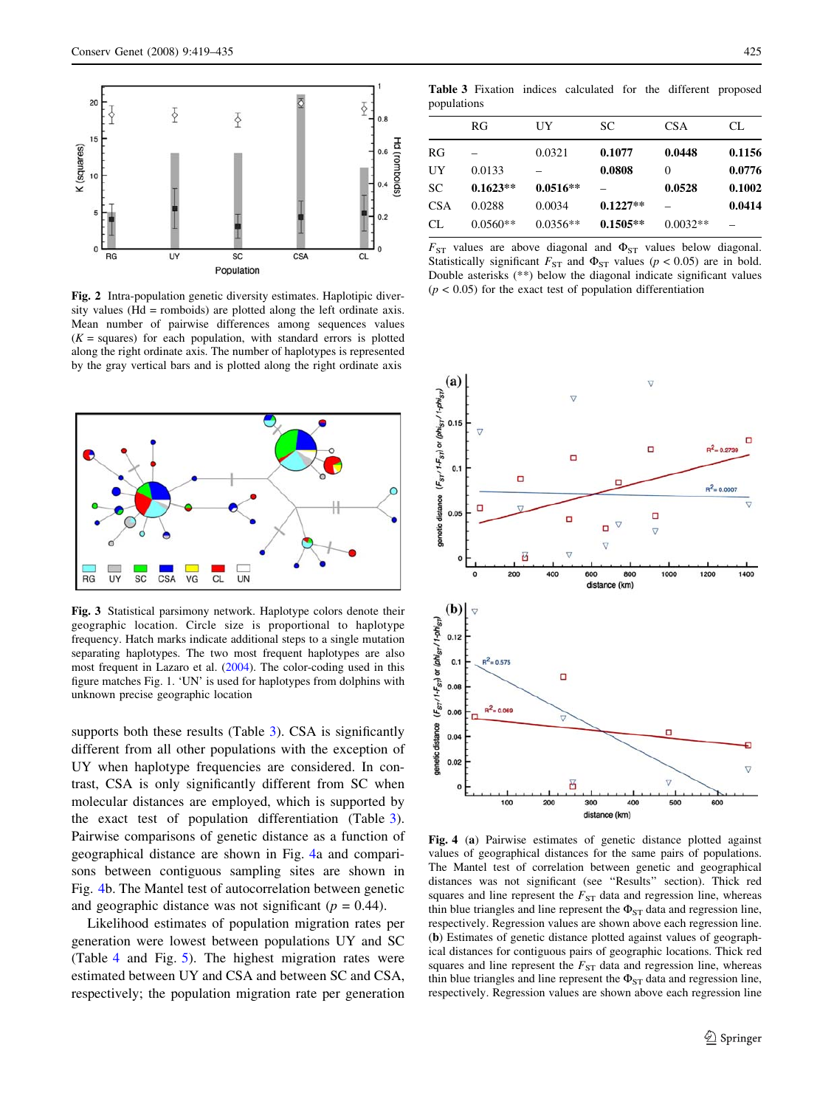<span id="page-6-0"></span>

Fig. 2 Intra-population genetic diversity estimates. Haplotipic diversity values ( $Hd =$ romboids) are plotted along the left ordinate axis. Mean number of pairwise differences among sequences values  $(K = \text{ squares})$  for each population, with standard errors is plotted along the right ordinate axis. The number of haplotypes is represented by the gray vertical bars and is plotted along the right ordinate axis



Fig. 3 Statistical parsimony network. Haplotype colors denote their geographic location. Circle size is proportional to haplotype frequency. Hatch marks indicate additional steps to a single mutation separating haplotypes. The two most frequent haplotypes are also most frequent in Lazaro et al. [\(2004](#page-15-0)). The color-coding used in this figure matches Fig. 1. 'UN' is used for haplotypes from dolphins with unknown precise geographic location

supports both these results (Table 3). CSA is significantly different from all other populations with the exception of UY when haplotype frequencies are considered. In contrast, CSA is only significantly different from SC when molecular distances are employed, which is supported by the exact test of population differentiation (Table 3). Pairwise comparisons of genetic distance as a function of geographical distance are shown in Fig. 4a and comparisons between contiguous sampling sites are shown in Fig. 4b. The Mantel test of autocorrelation between genetic and geographic distance was not significant ( $p = 0.44$ ).

Likelihood estimates of population migration rates per generation were lowest between populations UY and SC (Table [4](#page-7-0) and Fig. [5\)](#page-7-0). The highest migration rates were estimated between UY and CSA and between SC and CSA, respectively; the population migration rate per generation

Table 3 Fixation indices calculated for the different proposed populations

|     | RG         | UY         | SС         | <b>CSA</b> | CL     |
|-----|------------|------------|------------|------------|--------|
| RG  |            | 0.0321     | 0.1077     | 0.0448     | 0.1156 |
| UY  | 0.0133     |            | 0.0808     | 0          | 0.0776 |
| SС  | $0.1623**$ | $0.0516**$ |            | 0.0528     | 0.1002 |
| CSA | 0.0288     | 0.0034     | $0.1227**$ |            | 0.0414 |
| CL  | $0.0560**$ | $0.0356**$ | $0.1505**$ | $0.0032**$ | -      |
|     |            |            |            |            |        |

 $F_{ST}$  values are above diagonal and  $\Phi_{ST}$  values below diagonal. Statistically significant  $F_{ST}$  and  $\Phi_{ST}$  values ( $p < 0.05$ ) are in bold. Double asterisks (\*\*) below the diagonal indicate significant values  $(p < 0.05)$  for the exact test of population differentiation



Fig. 4 (a) Pairwise estimates of genetic distance plotted against values of geographical distances for the same pairs of populations. The Mantel test of correlation between genetic and geographical distances was not significant (see ''Results'' section). Thick red squares and line represent the  $F_{ST}$  data and regression line, whereas thin blue triangles and line represent the  $\Phi_{ST}$  data and regression line, respectively. Regression values are shown above each regression line. (b) Estimates of genetic distance plotted against values of geographical distances for contiguous pairs of geographic locations. Thick red squares and line represent the  $F_{ST}$  data and regression line, whereas thin blue triangles and line represent the  $\Phi_{ST}$  data and regression line, respectively. Regression values are shown above each regression line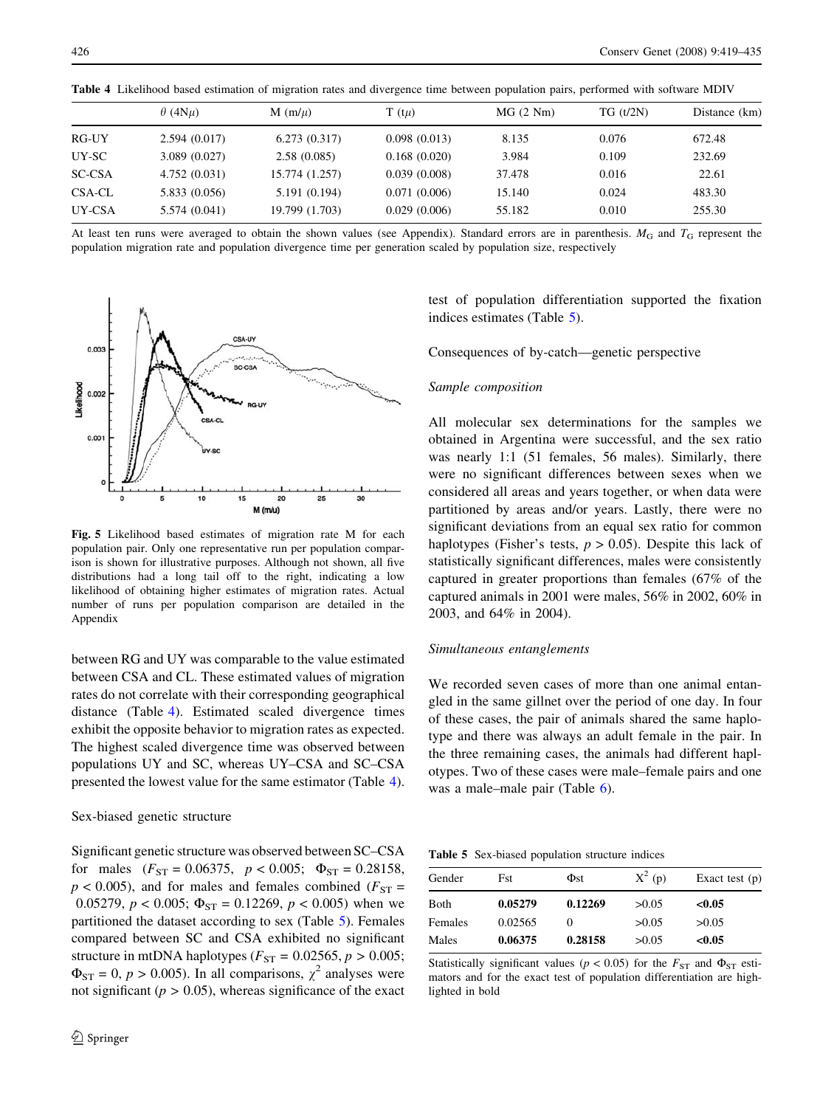|        | $\theta$ (4N $\mu$ ) | $M$ (m/ $\mu$ ) | $T(t\mu)$    | MG(2 Nm) | TG(t/2N) | Distance (km) |
|--------|----------------------|-----------------|--------------|----------|----------|---------------|
| RG-UY  | 2.594(0.017)         | 6.273(0.317)    | 0.098(0.013) | 8.135    | 0.076    | 672.48        |
| UY-SC  | 3.089(0.027)         | 2.58(0.085)     | 0.168(0.020) | 3.984    | 0.109    | 232.69        |
| SC-CSA | 4.752(0.031)         | 15.774 (1.257)  | 0.039(0.008) | 37.478   | 0.016    | 22.61         |
| CSA-CL | 5.833 (0.056)        | 5.191 (0.194)   | 0.071(0.006) | 15.140   | 0.024    | 483.30        |
| UY-CSA | 5.574 (0.041)        | 19.799 (1.703)  | 0.029(0.006) | 55.182   | 0.010    | 255.30        |

<span id="page-7-0"></span>Table 4 Likelihood based estimation of migration rates and divergence time between population pairs, performed with software MDIV

At least ten runs were averaged to obtain the shown values (see Appendix). Standard errors are in parenthesis.  $M_G$  and  $T_G$  represent the population migration rate and population divergence time per generation scaled by population size, respectively



Fig. 5 Likelihood based estimates of migration rate M for each population pair. Only one representative run per population comparison is shown for illustrative purposes. Although not shown, all five distributions had a long tail off to the right, indicating a low likelihood of obtaining higher estimates of migration rates. Actual number of runs per population comparison are detailed in the Appendix

between RG and UY was comparable to the value estimated between CSA and CL. These estimated values of migration rates do not correlate with their corresponding geographical distance (Table 4). Estimated scaled divergence times exhibit the opposite behavior to migration rates as expected. The highest scaled divergence time was observed between populations UY and SC, whereas UY–CSA and SC–CSA presented the lowest value for the same estimator (Table 4).

## Sex-biased genetic structure

Significant genetic structure was observed between SC–CSA for males  $(F_{ST} = 0.06375, p < 0.005; \Phi_{ST} = 0.28158,$  $p < 0.005$ ), and for males and females combined ( $F_{ST}$  = 0.05279,  $p < 0.005$ ;  $\Phi_{ST} = 0.12269$ ,  $p < 0.005$ ) when we partitioned the dataset according to sex (Table 5). Females compared between SC and CSA exhibited no significant structure in mtDNA haplotypes ( $F_{ST} = 0.02565$ ,  $p > 0.005$ ;  $\Phi_{ST} = 0$ ,  $p > 0.005$ ). In all comparisons,  $\chi^2$  analyses were not significant ( $p > 0.05$ ), whereas significance of the exact test of population differentiation supported the fixation indices estimates (Table 5).

Consequences of by-catch—genetic perspective

## Sample composition

All molecular sex determinations for the samples we obtained in Argentina were successful, and the sex ratio was nearly 1:1 (51 females, 56 males). Similarly, there were no significant differences between sexes when we considered all areas and years together, or when data were partitioned by areas and/or years. Lastly, there were no significant deviations from an equal sex ratio for common haplotypes (Fisher's tests,  $p > 0.05$ ). Despite this lack of statistically significant differences, males were consistently captured in greater proportions than females (67% of the captured animals in 2001 were males, 56% in 2002, 60% in 2003, and 64% in 2004).

## Simultaneous entanglements

We recorded seven cases of more than one animal entangled in the same gillnet over the period of one day. In four of these cases, the pair of animals shared the same haplotype and there was always an adult female in the pair. In the three remaining cases, the animals had different haplotypes. Two of these cases were male–female pairs and one was a male–male pair (Table [6\)](#page-8-0).

Table 5 Sex-biased population structure indices

| Gender      | Fst.    | $\Phi$ st | $X^2(p)$ | Exact test $(p)$ |
|-------------|---------|-----------|----------|------------------|
| <b>Both</b> | 0.05279 | 0.12269   | >0.05    | < 0.05           |
| Females     | 0.02565 | $_{0}$    | >0.05    | >0.05            |
| Males       | 0.06375 | 0.28158   | >0.05    | ${<}0.05$        |

Statistically significant values ( $p < 0.05$ ) for the  $F_{ST}$  and  $\Phi_{ST}$  estimators and for the exact test of population differentiation are highlighted in bold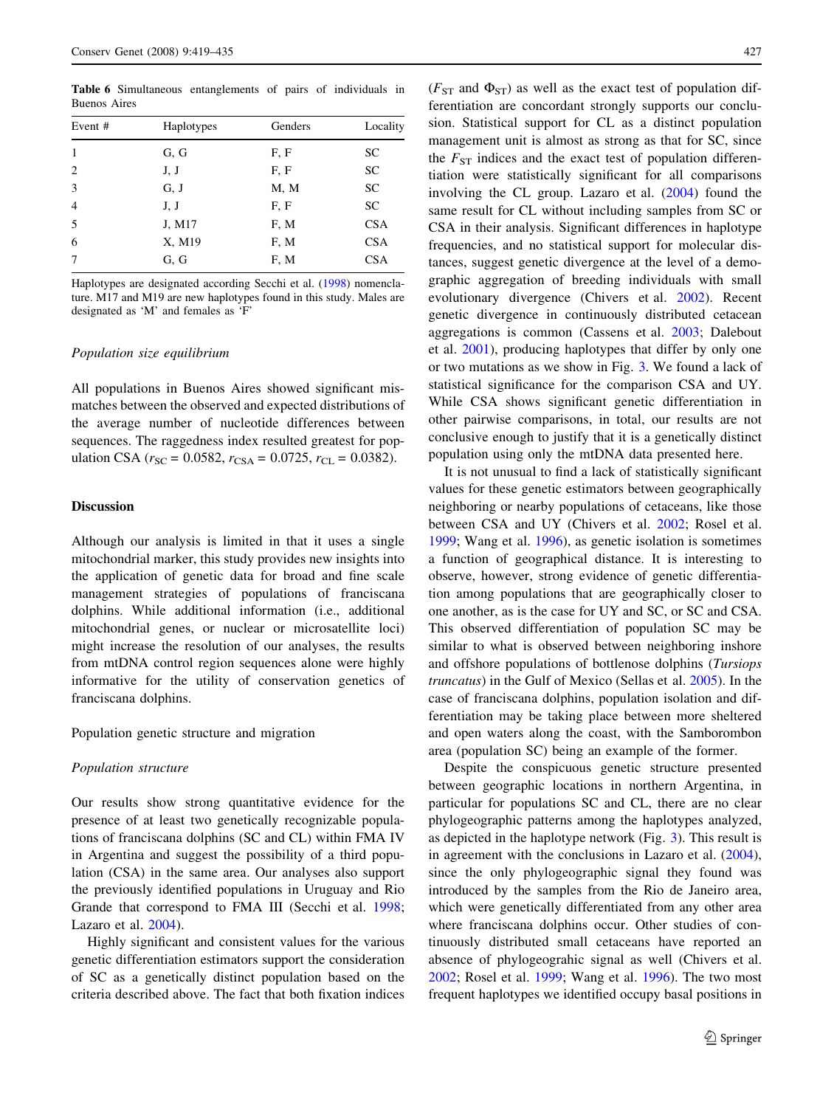<span id="page-8-0"></span>Table 6 Simultaneous entanglements of pairs of individuals in Buenos Aires

| Event #        | Haplotypes | Genders | Locality   |
|----------------|------------|---------|------------|
| $\mathbf{1}$   | G, G       | F. F    | SC         |
| $\overline{2}$ | J, J       | F.F     | SC         |
| 3              | G, J       | M, M    | SC         |
| $\overline{4}$ | J, J       | F.F     | SC         |
| 5              | J, M17     | F, M    | <b>CSA</b> |
| 6              | X, M19     | F, M    | <b>CSA</b> |
| 7              | G, G       | F, M    | <b>CSA</b> |

Haplotypes are designated according Secchi et al. ([1998](#page-15-0)) nomenclature. M17 and M19 are new haplotypes found in this study. Males are designated as 'M' and females as 'F'

#### Population size equilibrium

All populations in Buenos Aires showed significant mismatches between the observed and expected distributions of the average number of nucleotide differences between sequences. The raggedness index resulted greatest for population CSA ( $r_{SC}$  = 0.0582,  $r_{CSA}$  = 0.0725,  $r_{CL}$  = 0.0382).

## **Discussion**

Although our analysis is limited in that it uses a single mitochondrial marker, this study provides new insights into the application of genetic data for broad and fine scale management strategies of populations of franciscana dolphins. While additional information (i.e., additional mitochondrial genes, or nuclear or microsatellite loci) might increase the resolution of our analyses, the results from mtDNA control region sequences alone were highly informative for the utility of conservation genetics of franciscana dolphins.

Population genetic structure and migration

#### Population structure

Our results show strong quantitative evidence for the presence of at least two genetically recognizable populations of franciscana dolphins (SC and CL) within FMA IV in Argentina and suggest the possibility of a third population (CSA) in the same area. Our analyses also support the previously identified populations in Uruguay and Rio Grande that correspond to FMA III (Secchi et al. [1998](#page-15-0); Lazaro et al. [2004\)](#page-15-0).

Highly significant and consistent values for the various genetic differentiation estimators support the consideration of SC as a genetically distinct population based on the criteria described above. The fact that both fixation indices  $(F_{ST}$  and  $\Phi_{ST}$ ) as well as the exact test of population differentiation are concordant strongly supports our conclusion. Statistical support for CL as a distinct population management unit is almost as strong as that for SC, since the  $F_{ST}$  indices and the exact test of population differentiation were statistically significant for all comparisons involving the CL group. Lazaro et al. ([2004\)](#page-15-0) found the same result for CL without including samples from SC or CSA in their analysis. Significant differences in haplotype frequencies, and no statistical support for molecular distances, suggest genetic divergence at the level of a demographic aggregation of breeding individuals with small evolutionary divergence (Chivers et al. [2002\)](#page-14-0). Recent genetic divergence in continuously distributed cetacean aggregations is common (Cassens et al. [2003;](#page-14-0) Dalebout et al. [2001](#page-14-0)), producing haplotypes that differ by only one or two mutations as we show in Fig. [3](#page-6-0). We found a lack of statistical significance for the comparison CSA and UY. While CSA shows significant genetic differentiation in other pairwise comparisons, in total, our results are not conclusive enough to justify that it is a genetically distinct population using only the mtDNA data presented here.

It is not unusual to find a lack of statistically significant values for these genetic estimators between geographically neighboring or nearby populations of cetaceans, like those between CSA and UY (Chivers et al. [2002](#page-14-0); Rosel et al. [1999](#page-15-0); Wang et al. [1996](#page-16-0)), as genetic isolation is sometimes a function of geographical distance. It is interesting to observe, however, strong evidence of genetic differentiation among populations that are geographically closer to one another, as is the case for UY and SC, or SC and CSA. This observed differentiation of population SC may be similar to what is observed between neighboring inshore and offshore populations of bottlenose dolphins (Tursiops truncatus) in the Gulf of Mexico (Sellas et al. [2005\)](#page-15-0). In the case of franciscana dolphins, population isolation and differentiation may be taking place between more sheltered and open waters along the coast, with the Samborombon area (population SC) being an example of the former.

Despite the conspicuous genetic structure presented between geographic locations in northern Argentina, in particular for populations SC and CL, there are no clear phylogeographic patterns among the haplotypes analyzed, as depicted in the haplotype network (Fig. [3\)](#page-6-0). This result is in agreement with the conclusions in Lazaro et al. [\(2004](#page-15-0)), since the only phylogeographic signal they found was introduced by the samples from the Rio de Janeiro area, which were genetically differentiated from any other area where franciscana dolphins occur. Other studies of continuously distributed small cetaceans have reported an absence of phylogeograhic signal as well (Chivers et al. [2002](#page-14-0); Rosel et al. [1999;](#page-15-0) Wang et al. [1996\)](#page-16-0). The two most frequent haplotypes we identified occupy basal positions in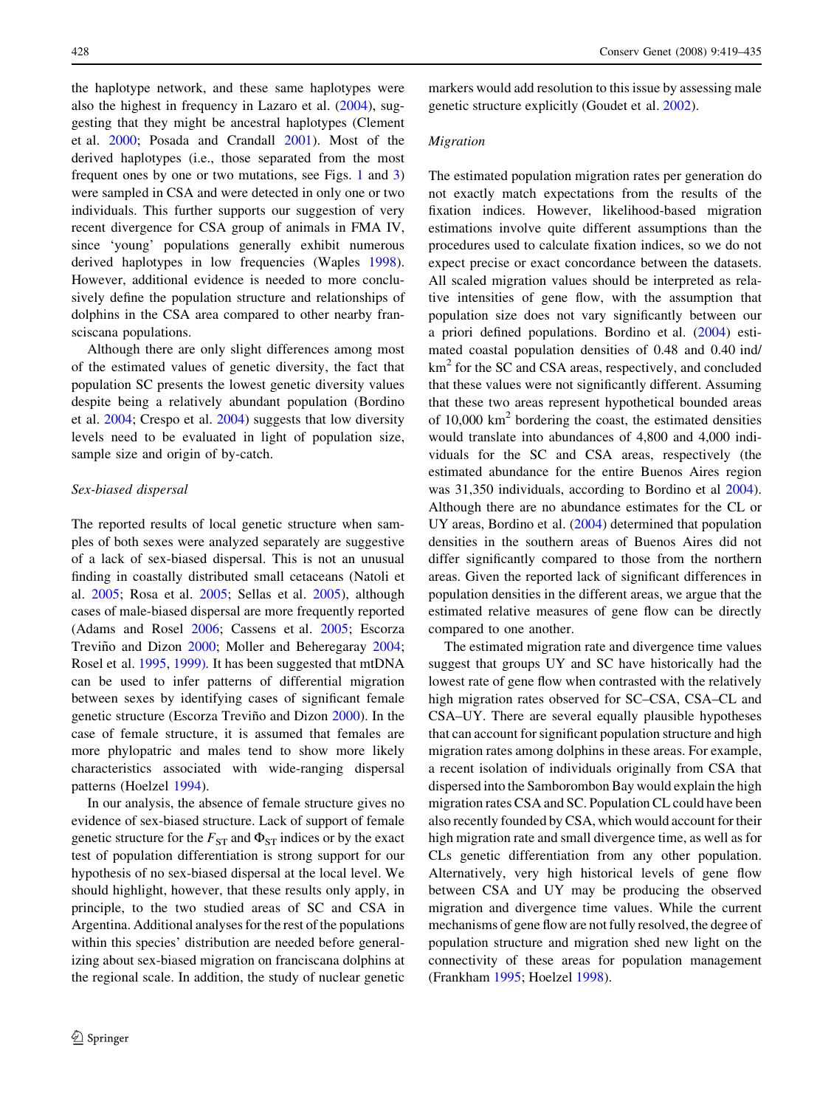the haplotype network, and these same haplotypes were also the highest in frequency in Lazaro et al. ([2004\)](#page-15-0), suggesting that they might be ancestral haplotypes (Clement et al. [2000;](#page-14-0) Posada and Crandall [2001](#page-15-0)). Most of the derived haplotypes (i.e., those separated from the most frequent ones by one or two mutations, see Figs. [1](#page-2-0) and [3\)](#page-6-0) were sampled in CSA and were detected in only one or two individuals. This further supports our suggestion of very recent divergence for CSA group of animals in FMA IV, since 'young' populations generally exhibit numerous derived haplotypes in low frequencies (Waples [1998](#page-16-0)). However, additional evidence is needed to more conclusively define the population structure and relationships of dolphins in the CSA area compared to other nearby fransciscana populations.

Although there are only slight differences among most of the estimated values of genetic diversity, the fact that population SC presents the lowest genetic diversity values despite being a relatively abundant population (Bordino et al. [2004](#page-14-0); Crespo et al. [2004\)](#page-14-0) suggests that low diversity levels need to be evaluated in light of population size, sample size and origin of by-catch.

## Sex-biased dispersal

The reported results of local genetic structure when samples of both sexes were analyzed separately are suggestive of a lack of sex-biased dispersal. This is not an unusual finding in coastally distributed small cetaceans (Natoli et al. [2005](#page-15-0); Rosa et al. [2005;](#page-15-0) Sellas et al. [2005\)](#page-15-0), although cases of male-biased dispersal are more frequently reported (Adams and Rosel [2006;](#page-13-0) Cassens et al. [2005;](#page-14-0) Escorza Treviño and Dizon [2000](#page-14-0); Moller and Beheregaray [2004](#page-15-0); Rosel et al. [1995,](#page-15-0) [1999\)](#page-15-0). It has been suggested that mtDNA can be used to infer patterns of differential migration between sexes by identifying cases of significant female genetic structure (Escorza Treviño and Dizon [2000](#page-14-0)). In the case of female structure, it is assumed that females are more phylopatric and males tend to show more likely characteristics associated with wide-ranging dispersal patterns (Hoelzel [1994\)](#page-14-0).

In our analysis, the absence of female structure gives no evidence of sex-biased structure. Lack of support of female genetic structure for the  $F_{ST}$  and  $\Phi_{ST}$  indices or by the exact test of population differentiation is strong support for our hypothesis of no sex-biased dispersal at the local level. We should highlight, however, that these results only apply, in principle, to the two studied areas of SC and CSA in Argentina. Additional analyses for the rest of the populations within this species' distribution are needed before generalizing about sex-biased migration on franciscana dolphins at the regional scale. In addition, the study of nuclear genetic markers would add resolution to this issue by assessing male genetic structure explicitly (Goudet et al. [2002\)](#page-14-0).

#### Migration

The estimated population migration rates per generation do not exactly match expectations from the results of the fixation indices. However, likelihood-based migration estimations involve quite different assumptions than the procedures used to calculate fixation indices, so we do not expect precise or exact concordance between the datasets. All scaled migration values should be interpreted as relative intensities of gene flow, with the assumption that population size does not vary significantly between our a priori defined populations. Bordino et al. ([2004\)](#page-14-0) estimated coastal population densities of 0.48 and 0.40 ind/ km<sup>2</sup> for the SC and CSA areas, respectively, and concluded that these values were not significantly different. Assuming that these two areas represent hypothetical bounded areas of  $10,000 \text{ km}^2$  bordering the coast, the estimated densities would translate into abundances of 4,800 and 4,000 individuals for the SC and CSA areas, respectively (the estimated abundance for the entire Buenos Aires region was 31,350 individuals, according to Bordino et al [2004](#page-14-0)). Although there are no abundance estimates for the CL or UY areas, Bordino et al. [\(2004](#page-14-0)) determined that population densities in the southern areas of Buenos Aires did not differ significantly compared to those from the northern areas. Given the reported lack of significant differences in population densities in the different areas, we argue that the estimated relative measures of gene flow can be directly compared to one another.

The estimated migration rate and divergence time values suggest that groups UY and SC have historically had the lowest rate of gene flow when contrasted with the relatively high migration rates observed for SC–CSA, CSA–CL and CSA–UY. There are several equally plausible hypotheses that can account for significant population structure and high migration rates among dolphins in these areas. For example, a recent isolation of individuals originally from CSA that dispersed into the Samborombon Bay would explain the high migration rates CSA and SC. Population CL could have been also recently founded by CSA, which would account for their high migration rate and small divergence time, as well as for CLs genetic differentiation from any other population. Alternatively, very high historical levels of gene flow between CSA and UY may be producing the observed migration and divergence time values. While the current mechanisms of gene flow are not fully resolved, the degree of population structure and migration shed new light on the connectivity of these areas for population management (Frankham [1995](#page-14-0); Hoelzel [1998](#page-14-0)).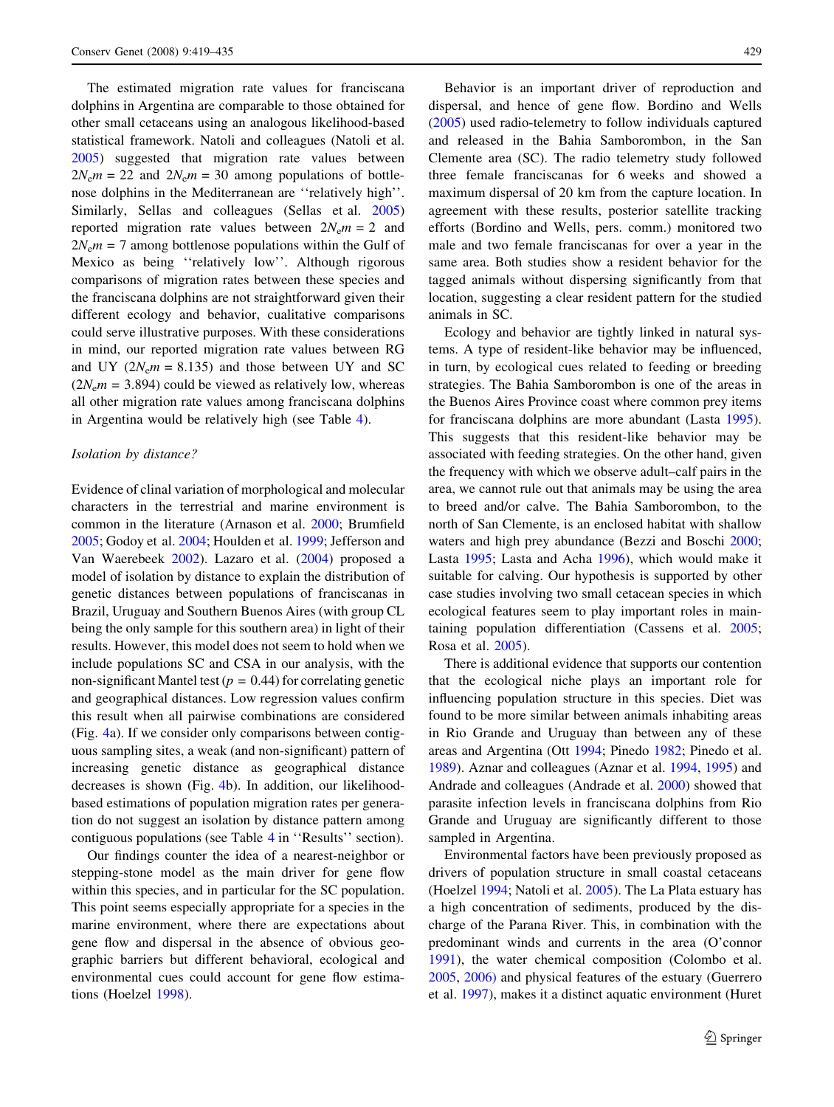The estimated migration rate values for franciscana dolphins in Argentina are comparable to those obtained for other small cetaceans using an analogous likelihood-based statistical framework. Natoli and colleagues (Natoli et al. [2005\)](#page-15-0) suggested that migration rate values between  $2N_{\rm e}m = 22$  and  $2N_{\rm e}m = 30$  among populations of bottlenose dolphins in the Mediterranean are ''relatively high''. Similarly, Sellas and colleagues (Sellas et al. [2005\)](#page-15-0) reported migration rate values between  $2N_{\rm e}m = 2$  and  $2N_{\rm e}m = 7$  among bottlenose populations within the Gulf of Mexico as being ''relatively low''. Although rigorous comparisons of migration rates between these species and the franciscana dolphins are not straightforward given their different ecology and behavior, cualitative comparisons could serve illustrative purposes. With these considerations in mind, our reported migration rate values between RG and UY ( $2N_e m = 8.135$ ) and those between UY and SC  $(2N<sub>e</sub>m = 3.894)$  could be viewed as relatively low, whereas all other migration rate values among franciscana dolphins in Argentina would be relatively high (see Table [4\)](#page-7-0).

#### Isolation by distance?

Evidence of clinal variation of morphological and molecular characters in the terrestrial and marine environment is common in the literature (Arnason et al. [2000](#page-13-0); Brumfield [2005;](#page-14-0) Godoy et al. [2004](#page-14-0); Houlden et al. [1999](#page-14-0); Jefferson and Van Waerebeek [2002\)](#page-15-0). Lazaro et al. ([2004\)](#page-15-0) proposed a model of isolation by distance to explain the distribution of genetic distances between populations of franciscanas in Brazil, Uruguay and Southern Buenos Aires (with group CL being the only sample for this southern area) in light of their results. However, this model does not seem to hold when we include populations SC and CSA in our analysis, with the non-significant Mantel test ( $p = 0.44$ ) for correlating genetic and geographical distances. Low regression values confirm this result when all pairwise combinations are considered (Fig. [4](#page-6-0)a). If we consider only comparisons between contiguous sampling sites, a weak (and non-significant) pattern of increasing genetic distance as geographical distance decreases is shown (Fig. [4](#page-6-0)b). In addition, our likelihoodbased estimations of population migration rates per generation do not suggest an isolation by distance pattern among contiguous populations (see Table [4](#page-7-0) in ''Results'' section).

Our findings counter the idea of a nearest-neighbor or stepping-stone model as the main driver for gene flow within this species, and in particular for the SC population. This point seems especially appropriate for a species in the marine environment, where there are expectations about gene flow and dispersal in the absence of obvious geographic barriers but different behavioral, ecological and environmental cues could account for gene flow estimations (Hoelzel [1998\)](#page-14-0).

Behavior is an important driver of reproduction and dispersal, and hence of gene flow. Bordino and Wells [\(2005](#page-14-0)) used radio-telemetry to follow individuals captured and released in the Bahia Samborombon, in the San Clemente area (SC). The radio telemetry study followed three female franciscanas for 6 weeks and showed a maximum dispersal of 20 km from the capture location. In agreement with these results, posterior satellite tracking efforts (Bordino and Wells, pers. comm.) monitored two male and two female franciscanas for over a year in the same area. Both studies show a resident behavior for the tagged animals without dispersing significantly from that location, suggesting a clear resident pattern for the studied animals in SC.

Ecology and behavior are tightly linked in natural systems. A type of resident-like behavior may be influenced, in turn, by ecological cues related to feeding or breeding strategies. The Bahia Samborombon is one of the areas in the Buenos Aires Province coast where common prey items for franciscana dolphins are more abundant (Lasta [1995](#page-15-0)). This suggests that this resident-like behavior may be associated with feeding strategies. On the other hand, given the frequency with which we observe adult–calf pairs in the area, we cannot rule out that animals may be using the area to breed and/or calve. The Bahia Samborombon, to the north of San Clemente, is an enclosed habitat with shallow waters and high prey abundance (Bezzi and Boschi [2000](#page-14-0); Lasta [1995;](#page-15-0) Lasta and Acha [1996\)](#page-15-0), which would make it suitable for calving. Our hypothesis is supported by other case studies involving two small cetacean species in which ecological features seem to play important roles in maintaining population differentiation (Cassens et al. [2005](#page-14-0); Rosa et al. [2005](#page-15-0)).

There is additional evidence that supports our contention that the ecological niche plays an important role for influencing population structure in this species. Diet was found to be more similar between animals inhabiting areas in Rio Grande and Uruguay than between any of these areas and Argentina (Ott [1994](#page-15-0); Pinedo [1982;](#page-15-0) Pinedo et al. [1989](#page-15-0)). Aznar and colleagues (Aznar et al. [1994](#page-13-0), [1995\)](#page-13-0) and Andrade and colleagues (Andrade et al. [2000\)](#page-13-0) showed that parasite infection levels in franciscana dolphins from Rio Grande and Uruguay are significantly different to those sampled in Argentina.

Environmental factors have been previously proposed as drivers of population structure in small coastal cetaceans (Hoelzel [1994;](#page-14-0) Natoli et al. [2005](#page-15-0)). The La Plata estuary has a high concentration of sediments, produced by the discharge of the Parana River. This, in combination with the predominant winds and currents in the area (O'connor [1991](#page-15-0)), the water chemical composition (Colombo et al. [2005](#page-14-0), [2006\)](#page-14-0) and physical features of the estuary (Guerrero et al. [1997](#page-14-0)), makes it a distinct aquatic environment (Huret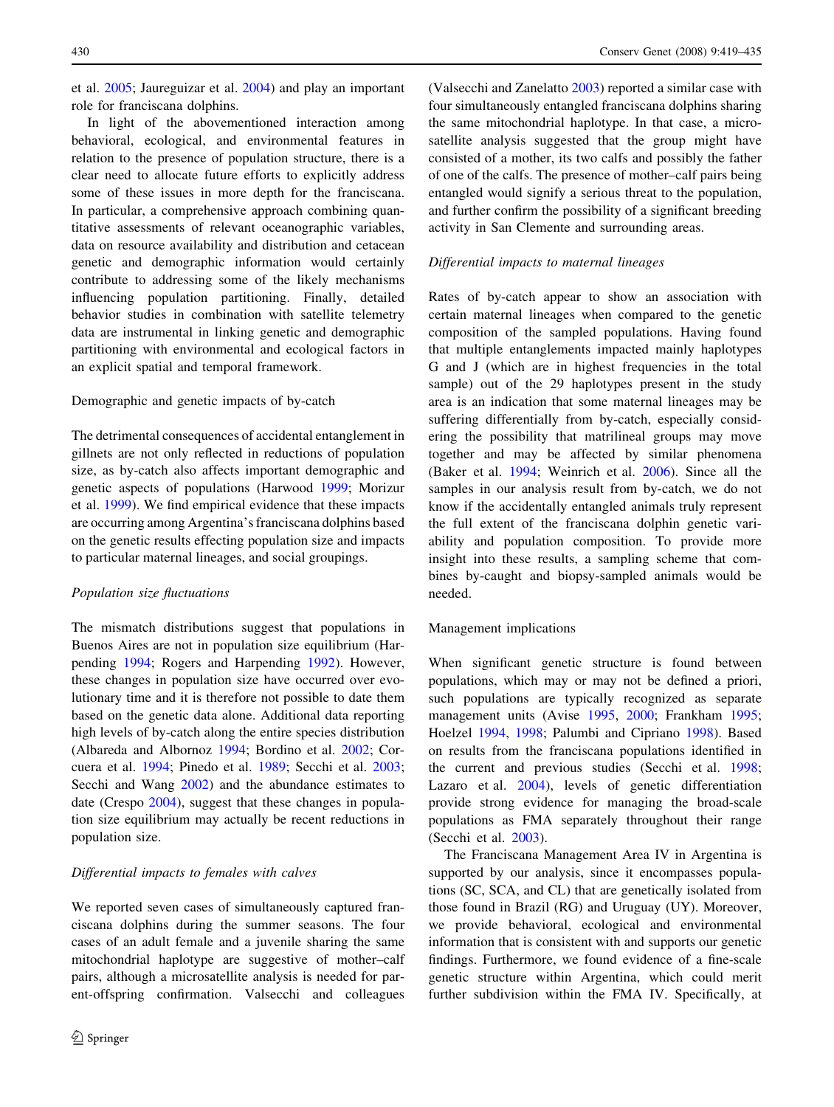et al. [2005;](#page-14-0) Jaureguizar et al. [2004](#page-14-0)) and play an important role for franciscana dolphins.

In light of the abovementioned interaction among behavioral, ecological, and environmental features in relation to the presence of population structure, there is a clear need to allocate future efforts to explicitly address some of these issues in more depth for the franciscana. In particular, a comprehensive approach combining quantitative assessments of relevant oceanographic variables, data on resource availability and distribution and cetacean genetic and demographic information would certainly contribute to addressing some of the likely mechanisms influencing population partitioning. Finally, detailed behavior studies in combination with satellite telemetry data are instrumental in linking genetic and demographic partitioning with environmental and ecological factors in an explicit spatial and temporal framework.

## Demographic and genetic impacts of by-catch

The detrimental consequences of accidental entanglement in gillnets are not only reflected in reductions of population size, as by-catch also affects important demographic and genetic aspects of populations (Harwood [1999;](#page-14-0) Morizur et al. [1999](#page-15-0)). We find empirical evidence that these impacts are occurring among Argentina's franciscana dolphins based on the genetic results effecting population size and impacts to particular maternal lineages, and social groupings.

#### Population size fluctuations

The mismatch distributions suggest that populations in Buenos Aires are not in population size equilibrium (Harpending [1994;](#page-14-0) Rogers and Harpending [1992\)](#page-15-0). However, these changes in population size have occurred over evolutionary time and it is therefore not possible to date them based on the genetic data alone. Additional data reporting high levels of by-catch along the entire species distribution (Albareda and Albornoz [1994;](#page-13-0) Bordino et al. [2002;](#page-14-0) Corcuera et al. [1994](#page-14-0); Pinedo et al. [1989](#page-15-0); Secchi et al. [2003](#page-15-0); Secchi and Wang  $2002$ ) and the abundance estimates to date (Crespo [2004](#page-14-0)), suggest that these changes in population size equilibrium may actually be recent reductions in population size.

## Differential impacts to females with calves

We reported seven cases of simultaneously captured franciscana dolphins during the summer seasons. The four cases of an adult female and a juvenile sharing the same mitochondrial haplotype are suggestive of mother–calf pairs, although a microsatellite analysis is needed for parent-offspring confirmation. Valsecchi and colleagues (Valsecchi and Zanelatto [2003](#page-15-0)) reported a similar case with four simultaneously entangled franciscana dolphins sharing the same mitochondrial haplotype. In that case, a microsatellite analysis suggested that the group might have consisted of a mother, its two calfs and possibly the father of one of the calfs. The presence of mother–calf pairs being entangled would signify a serious threat to the population, and further confirm the possibility of a significant breeding activity in San Clemente and surrounding areas.

## Differential impacts to maternal lineages

Rates of by-catch appear to show an association with certain maternal lineages when compared to the genetic composition of the sampled populations. Having found that multiple entanglements impacted mainly haplotypes G and J (which are in highest frequencies in the total sample) out of the 29 haplotypes present in the study area is an indication that some maternal lineages may be suffering differentially from by-catch, especially considering the possibility that matrilineal groups may move together and may be affected by similar phenomena (Baker et al. [1994;](#page-13-0) Weinrich et al. [2006\)](#page-16-0). Since all the samples in our analysis result from by-catch, we do not know if the accidentally entangled animals truly represent the full extent of the franciscana dolphin genetic variability and population composition. To provide more insight into these results, a sampling scheme that combines by-caught and biopsy-sampled animals would be needed.

## Management implications

When significant genetic structure is found between populations, which may or may not be defined a priori, such populations are typically recognized as separate management units (Avise [1995,](#page-13-0) [2000](#page-13-0); Frankham [1995](#page-14-0); Hoelzel [1994](#page-14-0), [1998;](#page-14-0) Palumbi and Cipriano [1998\)](#page-15-0). Based on results from the franciscana populations identified in the current and previous studies (Secchi et al. [1998](#page-15-0); Lazaro et al. [2004\)](#page-15-0), levels of genetic differentiation provide strong evidence for managing the broad-scale populations as FMA separately throughout their range (Secchi et al. [2003\)](#page-15-0).

The Franciscana Management Area IV in Argentina is supported by our analysis, since it encompasses populations (SC, SCA, and CL) that are genetically isolated from those found in Brazil (RG) and Uruguay (UY). Moreover, we provide behavioral, ecological and environmental information that is consistent with and supports our genetic findings. Furthermore, we found evidence of a fine-scale genetic structure within Argentina, which could merit further subdivision within the FMA IV. Specifically, at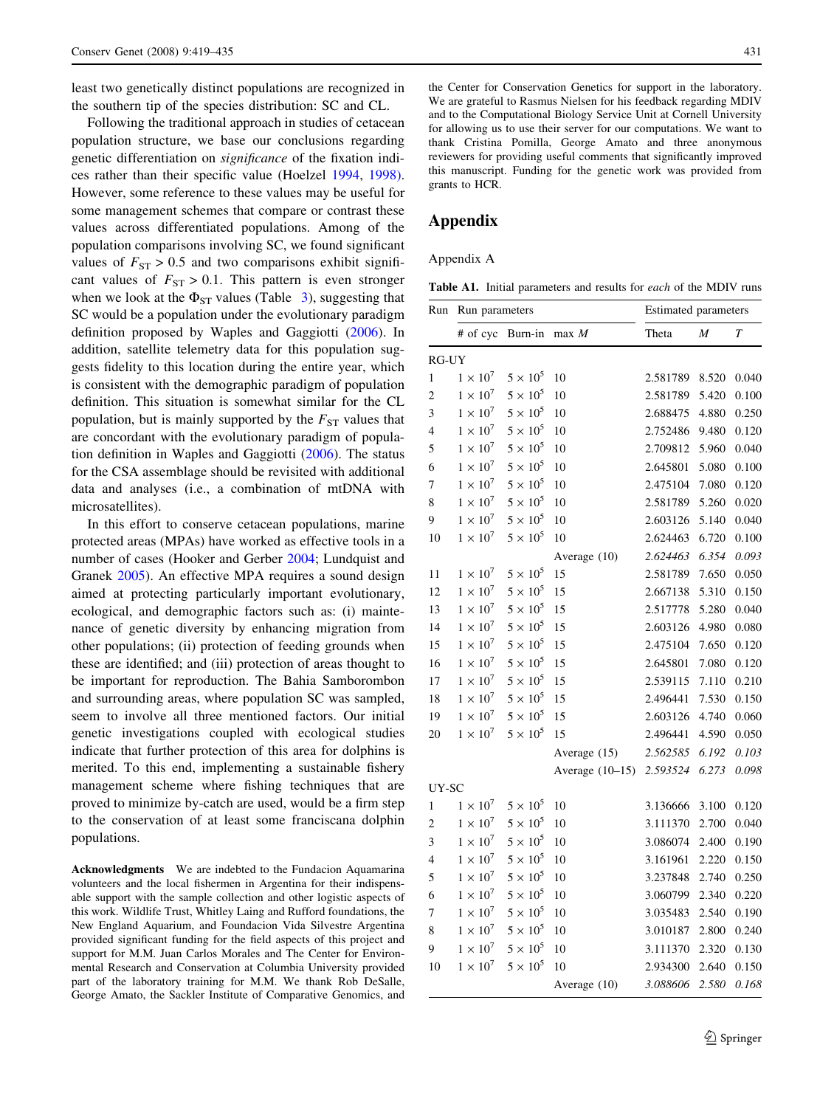least two genetically distinct populations are recognized in the southern tip of the species distribution: SC and CL.

Following the traditional approach in studies of cetacean population structure, we base our conclusions regarding genetic differentiation on significance of the fixation indices rather than their specific value (Hoelzel [1994,](#page-14-0) [1998\).](#page-14-0) However, some reference to these values may be useful for some management schemes that compare or contrast these values across differentiated populations. Among of the population comparisons involving SC, we found significant values of  $F_{ST} > 0.5$  and two comparisons exhibit significant values of  $F_{ST} > 0.1$ . This pattern is even stronger when we look at the  $\Phi_{ST}$  values (Table [3](#page-6-0)), suggesting that SC would be a population under the evolutionary paradigm definition proposed by Waples and Gaggiotti [\(2006](#page-16-0)). In addition, satellite telemetry data for this population suggests fidelity to this location during the entire year, which is consistent with the demographic paradigm of population definition. This situation is somewhat similar for the CL population, but is mainly supported by the  $F_{ST}$  values that are concordant with the evolutionary paradigm of population definition in Waples and Gaggiotti [\(2006](#page-16-0)). The status for the CSA assemblage should be revisited with additional data and analyses (i.e., a combination of mtDNA with microsatellites).

In this effort to conserve cetacean populations, marine protected areas (MPAs) have worked as effective tools in a number of cases (Hooker and Gerber [2004](#page-14-0); Lundquist and Granek [2005\)](#page-15-0). An effective MPA requires a sound design aimed at protecting particularly important evolutionary, ecological, and demographic factors such as: (i) maintenance of genetic diversity by enhancing migration from other populations; (ii) protection of feeding grounds when these are identified; and (iii) protection of areas thought to be important for reproduction. The Bahia Samborombon and surrounding areas, where population SC was sampled, seem to involve all three mentioned factors. Our initial genetic investigations coupled with ecological studies indicate that further protection of this area for dolphins is merited. To this end, implementing a sustainable fishery management scheme where fishing techniques that are proved to minimize by-catch are used, would be a firm step to the conservation of at least some franciscana dolphin populations.

Acknowledgments We are indebted to the Fundacion Aquamarina volunteers and the local fishermen in Argentina for their indispensable support with the sample collection and other logistic aspects of this work. Wildlife Trust, Whitley Laing and Rufford foundations, the New England Aquarium, and Foundacion Vida Silvestre Argentina provided significant funding for the field aspects of this project and support for M.M. Juan Carlos Morales and The Center for Environmental Research and Conservation at Columbia University provided part of the laboratory training for M.M. We thank Rob DeSalle, George Amato, the Sackler Institute of Comparative Genomics, and

the Center for Conservation Genetics for support in the laboratory. We are grateful to Rasmus Nielsen for his feedback regarding MDIV and to the Computational Biology Service Unit at Cornell University for allowing us to use their server for our computations. We want to thank Cristina Pomilla, George Amato and three anonymous reviewers for providing useful comments that significantly improved this manuscript. Funding for the genetic work was provided from grants to HCR.

## Appendix

#### Appendix A

| <b>Table A1.</b> Initial parameters and results for <i>each</i> of the MDIV runs |  |
|----------------------------------------------------------------------------------|--|
|----------------------------------------------------------------------------------|--|

| Run            | Run parameters  |                 |                   | Estimated parameters |       |       |
|----------------|-----------------|-----------------|-------------------|----------------------|-------|-------|
|                | # of cyc        | Burn-in         | $max$ $M$         | Theta                | M     | T     |
| RG-UY          |                 |                 |                   |                      |       |       |
| 1              | $1 \times 10^7$ | $5\times10^5$   | 10                | 2.581789             | 8.520 | 0.040 |
| $\overline{c}$ | $1 \times 10^7$ | $5 \times 10^5$ | 10                | 2.581789             | 5.420 | 0.100 |
| 3              | $1 \times 10^7$ | $5 \times 10^5$ | 10                | 2.688475             | 4.880 | 0.250 |
| 4              | $1\times10^7$   | $5 \times 10^5$ | 10                | 2.752486             | 9.480 | 0.120 |
| 5              | $1 \times 10^7$ | $5 \times 10^5$ | 10                | 2.709812             | 5.960 | 0.040 |
| 6              | $1\times10^7$   | $5\times10^5$   | 10                | 2.645801             | 5.080 | 0.100 |
| 7              | $1 \times 10^7$ | $5 \times 10^5$ | 10                | 2.475104             | 7.080 | 0.120 |
| 8              | $1 \times 10^7$ | $5 \times 10^5$ | 10                | 2.581789             | 5.260 | 0.020 |
| 9              | $1 \times 10^7$ | $5 \times 10^5$ | 10                | 2.603126             | 5.140 | 0.040 |
| 10             | $1 \times 10^7$ | $5 \times 10^5$ | 10                | 2.624463             | 6.720 | 0.100 |
|                |                 |                 | Average (10)      | 2.624463             | 6.354 | 0.093 |
| 11             | $1 \times 10^7$ | $5 \times 10^5$ | 15                | 2.581789             | 7.650 | 0.050 |
| 12             | $1\times10^7$   | $5 \times 10^5$ | 15                | 2.667138             | 5.310 | 0.150 |
| 13             | $1 \times 10^7$ | $5 \times 10^5$ | 15                | 2.517778             | 5.280 | 0.040 |
| 14             | $1 \times 10^7$ | $5 \times 10^5$ | 15                | 2.603126             | 4.980 | 0.080 |
| 15             | $1 \times 10^7$ | $5 \times 10^5$ | 15                | 2.475104             | 7.650 | 0.120 |
| 16             | $1 \times 10^7$ | $5 \times 10^5$ | 15                | 2.645801             | 7.080 | 0.120 |
| 17             | $1 \times 10^7$ | $5 \times 10^5$ | 15                | 2.539115             | 7.110 | 0.210 |
| 18             | $1 \times 10^7$ | $5 \times 10^5$ | 15                | 2.496441             | 7.530 | 0.150 |
| 19             | $1 \times 10^7$ | $5 \times 10^5$ | 15                | 2.603126             | 4.740 | 0.060 |
| 20             | $1 \times 10^7$ | $5 \times 10^5$ | 15                | 2.496441             | 4.590 | 0.050 |
|                |                 |                 | Average (15)      | 2.562585             | 6.192 | 0.103 |
|                |                 |                 | Average $(10-15)$ | 2.593524             | 6.273 | 0.098 |
| UY-SC          |                 |                 |                   |                      |       |       |
| 1              | $1 \times 10^7$ | $5 \times 10^5$ | 10                | 3.136666             | 3.100 | 0.120 |
| 2              | $1 \times 10^7$ | $5 \times 10^5$ | 10                | 3.111370             | 2.700 | 0.040 |
| 3              | $1\times10^7$   | $5 \times 10^5$ | 10                | 3.086074             | 2.400 | 0.190 |
| 4              | $1 \times 10^7$ | $5 \times 10^5$ | 10                | 3.161961             | 2.220 | 0.150 |
| 5              | $1\times10^7$   | $5 \times 10^5$ | 10                | 3.237848             | 2.740 | 0.250 |
| 6              | $1\times10^7$   | $5 \times 10^5$ | 10                | 3.060799             | 2.340 | 0.220 |
| 7              | $1\times10^7$   | $5 \times 10^5$ | 10                | 3.035483             | 2.540 | 0.190 |
| 8              | $1 \times 10^7$ | $5 \times 10^5$ | 10                | 3.010187             | 2.800 | 0.240 |
| 9              | $1 \times 10^7$ | $5 \times 10^5$ | 10                | 3.111370             | 2.320 | 0.130 |
| 10             | $1 \times 10^7$ | $5 \times 10^5$ | 10                | 2.934300             | 2.640 | 0.150 |
|                |                 |                 | Average (10)      | 3.088606             | 2.580 | 0.168 |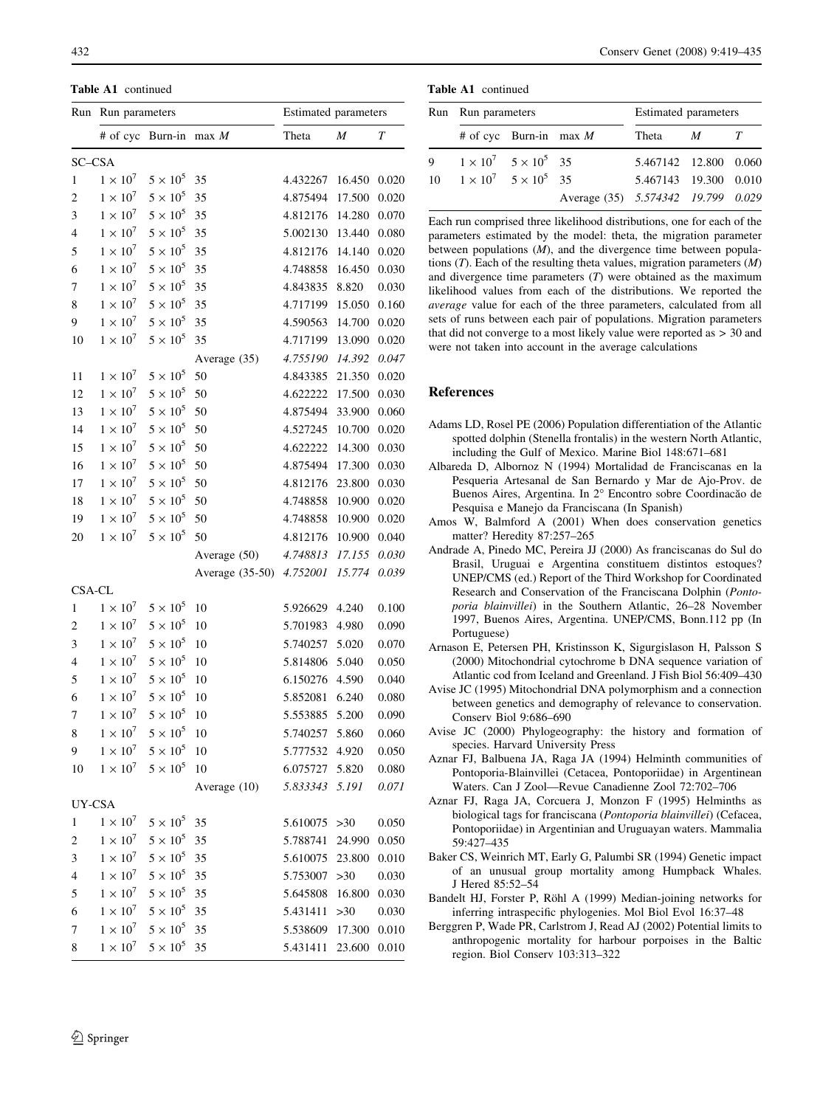<span id="page-13-0"></span>Table A1 continued

| Run            | Run parameters  |                 | Estimated parameters |          |        |       |
|----------------|-----------------|-----------------|----------------------|----------|--------|-------|
|                | # of cyc        | Burn-in         | $\max$ $M$           | Theta    | M      | T     |
| SC-CSA         |                 |                 |                      |          |        |       |
| 1              | $1 \times 10^7$ | $5 \times 10^5$ | 35                   | 4.432267 | 16.450 | 0.020 |
| $\overline{2}$ | $1 \times 10^7$ | $5 \times 10^5$ | 35                   | 4.875494 | 17.500 | 0.020 |
| 3              | $1 \times 10^7$ | $5 \times 10^5$ | 35                   | 4.812176 | 14.280 | 0.070 |
| $\overline{4}$ | $1 \times 10^7$ | $5 \times 10^5$ | 35                   | 5.002130 | 13.440 | 0.080 |
| 5              | $1 \times 10^7$ | $5 \times 10^5$ | 35                   | 4.812176 | 14.140 | 0.020 |
| 6              | $1 \times 10^7$ | $5 \times 10^5$ | 35                   | 4.748858 | 16.450 | 0.030 |
| 7              | $1 \times 10^7$ | $5 \times 10^5$ | 35                   | 4.843835 | 8.820  | 0.030 |
| 8              | $1 \times 10^7$ | $5 \times 10^5$ | 35                   | 4.717199 | 15.050 | 0.160 |
| 9              | $1 \times 10^7$ | $5 \times 10^5$ | 35                   | 4.590563 | 14.700 | 0.020 |
| 10             | $1 \times 10^7$ | $5 \times 10^5$ | 35                   | 4.717199 | 13.090 | 0.020 |
|                |                 |                 | Average (35)         | 4.755190 | 14.392 | 0.047 |
| 11             | $1\times10^7$   | $5 \times 10^5$ | 50                   | 4.843385 | 21.350 | 0.020 |
| 12             | $1 \times 10^7$ | $5 \times 10^5$ | 50                   | 4.622222 | 17.500 | 0.030 |
| 13             | $1 \times 10^7$ | $5 \times 10^5$ | 50                   | 4.875494 | 33.900 | 0.060 |
| 14             | $1 \times 10^7$ | $5 \times 10^5$ | 50                   | 4.527245 | 10.700 | 0.020 |
| 15             | $1\times10^7$   | $5 \times 10^5$ | 50                   | 4.622222 | 14.300 | 0.030 |
| 16             | $1 \times 10^7$ | $5 \times 10^5$ | 50                   | 4.875494 | 17.300 | 0.030 |
| 17             | $1 \times 10^7$ | $5 \times 10^5$ | 50                   | 4.812176 | 23.800 | 0.030 |
| 18             | $1 \times 10^7$ | $5 \times 10^5$ | 50                   | 4.748858 | 10.900 | 0.020 |
| 19             | $1 \times 10^7$ | $5 \times 10^5$ | 50                   | 4.748858 | 10.900 | 0.020 |
| 20             | $1 \times 10^7$ | $5 \times 10^5$ | 50                   | 4.812176 | 10.900 | 0.040 |
|                |                 |                 | Average (50)         | 4.748813 | 17.155 | 0.030 |
|                |                 |                 | Average (35-50)      | 4.752001 | 15.774 | 0.039 |
| <b>CSA-CL</b>  |                 |                 |                      |          |        |       |
| 1              | $1 \times 10^7$ | $5 \times 10^5$ | 10                   | 5.926629 | 4.240  | 0.100 |
| $\overline{c}$ | $1 \times 10^7$ | $5 \times 10^5$ | 10                   | 5.701983 | 4.980  | 0.090 |
| 3              | $1 \times 10^7$ | $5 \times 10^5$ | 10                   | 5.740257 | 5.020  | 0.070 |
| $\overline{4}$ | $1 \times 10^7$ | $5 \times 10^5$ | 10                   | 5.814806 | 5.040  | 0.050 |
| 5              | $1 \times 10^7$ | $5 \times 10^5$ | 10                   | 6.150276 | 4.590  | 0.040 |
| 6              | $1 \times 10^7$ | $5 \times 10^5$ | 10                   | 5.852081 | 6.240  | 0.080 |
| 7              | $1 \times 10^7$ | $5 \times 10^5$ | 10                   | 5.553885 | 5.200  | 0.090 |
| 8              | $1\times10^7$   | $5\times10^5$   | 10                   | 5.740257 | 5.860  | 0.060 |
| 9              | $1 \times 10^7$ | $5 \times 10^5$ | 10                   | 5.777532 | 4.920  | 0.050 |
| 10             | $1 \times 10^7$ | $5\times10^5$   | 10                   | 6.075727 | 5.820  | 0.080 |
|                |                 |                 | Average $(10)$       | 5.833343 | 5.191  | 0.071 |
| UY-CSA         |                 |                 |                      |          |        |       |
| 1              | $1 \times 10^7$ | $5 \times 10^5$ | 35                   | 5.610075 | $>30$  | 0.050 |
| $\overline{c}$ | $1 \times 10^7$ | $5 \times 10^5$ | 35                   | 5.788741 | 24.990 | 0.050 |
| 3              | $1 \times 10^7$ | $5 \times 10^5$ | 35                   | 5.610075 | 23.800 | 0.010 |
| $\overline{4}$ | $1 \times 10^7$ | $5 \times 10^5$ | 35                   | 5.753007 | $>30$  | 0.030 |
| 5              | $1 \times 10^7$ | $5 \times 10^5$ | 35                   | 5.645808 | 16.800 | 0.030 |
| 6              | $1 \times 10^7$ | $5 \times 10^5$ | 35                   | 5.431411 | $>30$  | 0.030 |
| 7              | $1 \times 10^7$ | $5 \times 10^5$ | 35                   | 5.538609 | 17.300 | 0.010 |
| 8              | $1 \times 10^7$ | $5 \times 10^5$ | 35                   | 5.431411 | 23.600 | 0.010 |

|  | <b>Table A1</b> continued |
|--|---------------------------|
|--|---------------------------|

| Run Run parameters                           |                          |                                    | Estimated parameters  |   |  |
|----------------------------------------------|--------------------------|------------------------------------|-----------------------|---|--|
|                                              | # of cyc Burn-in max $M$ |                                    | Theta                 | M |  |
| 9 $1 \times 10^7$ $5 \times 10^5$ 35         |                          |                                    | 5.467142 12.800 0.060 |   |  |
| $10 \t 1 \times 10^7 \t 5 \times 10^5 \t 35$ |                          |                                    | 5.467143 19.300 0.010 |   |  |
|                                              |                          | Average (35) 5.574342 19.799 0.029 |                       |   |  |

Each run comprised three likelihood distributions, one for each of the parameters estimated by the model: theta, the migration parameter between populations  $(M)$ , and the divergence time between populations  $(T)$ . Each of the resulting theta values, migration parameters  $(M)$ and divergence time parameters  $(T)$  were obtained as the maximum likelihood values from each of the distributions. We reported the average value for each of the three parameters, calculated from all sets of runs between each pair of populations. Migration parameters that did not converge to a most likely value were reported as > 30 and were not taken into account in the average calculations

### References

- Adams LD, Rosel PE (2006) Population differentiation of the Atlantic spotted dolphin (Stenella frontalis) in the western North Atlantic, including the Gulf of Mexico. Marine Biol 148:671–681
- Albareda D, Albornoz N (1994) Mortalidad de Franciscanas en la Pesqueria Artesanal de San Bernardo y Mar de Ajo-Prov. de Buenos Aires, Argentina. In 2° Encontro sobre Coordinacăo de Pesquisa e Manejo da Franciscana (In Spanish)
- Amos W, Balmford A (2001) When does conservation genetics matter? Heredity 87:257–265
- Andrade A, Pinedo MC, Pereira JJ (2000) As franciscanas do Sul do Brasil, Uruguai e Argentina constituem distintos estoques? UNEP/CMS (ed.) Report of the Third Workshop for Coordinated Research and Conservation of the Franciscana Dolphin (Pontoporia blainvillei) in the Southern Atlantic, 26–28 November 1997, Buenos Aires, Argentina. UNEP/CMS, Bonn.112 pp (In Portuguese)
- Arnason E, Petersen PH, Kristinsson K, Sigurgislason H, Palsson S (2000) Mitochondrial cytochrome b DNA sequence variation of Atlantic cod from Iceland and Greenland. J Fish Biol 56:409–430
- Avise JC (1995) Mitochondrial DNA polymorphism and a connection between genetics and demography of relevance to conservation. Conserv Biol 9:686–690
- Avise JC (2000) Phylogeography: the history and formation of species. Harvard University Press
- Aznar FJ, Balbuena JA, Raga JA (1994) Helminth communities of Pontoporia-Blainvillei (Cetacea, Pontoporiidae) in Argentinean Waters. Can J Zool—Revue Canadienne Zool 72:702–706
- Aznar FJ, Raga JA, Corcuera J, Monzon F (1995) Helminths as biological tags for franciscana (Pontoporia blainvillei) (Cefacea, Pontoporiidae) in Argentinian and Uruguayan waters. Mammalia 59:427–435
- Baker CS, Weinrich MT, Early G, Palumbi SR (1994) Genetic impact of an unusual group mortality among Humpback Whales. J Hered 85:52–54
- Bandelt HJ, Forster P, Röhl A (1999) Median-joining networks for inferring intraspecific phylogenies. Mol Biol Evol 16:37–48
- Berggren P, Wade PR, Carlstrom J, Read AJ (2002) Potential limits to anthropogenic mortality for harbour porpoises in the Baltic region. Biol Conserv 103:313–322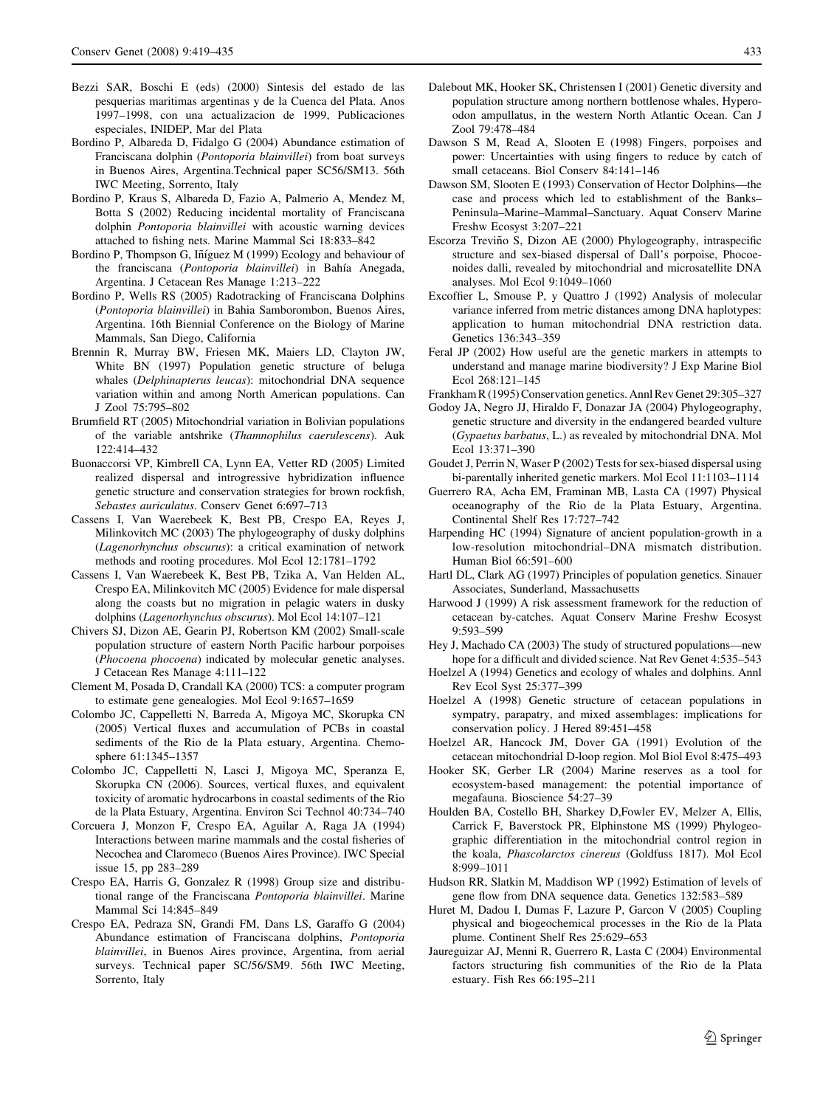- <span id="page-14-0"></span>Bezzi SAR, Boschi E (eds) (2000) Sintesis del estado de las pesquerias maritimas argentinas y de la Cuenca del Plata. Anos 1997–1998, con una actualizacion de 1999, Publicaciones especiales, INIDEP, Mar del Plata
- Bordino P, Albareda D, Fidalgo G (2004) Abundance estimation of Franciscana dolphin (Pontoporia blainvillei) from boat surveys in Buenos Aires, Argentina.Technical paper SC56/SM13. 56th IWC Meeting, Sorrento, Italy
- Bordino P, Kraus S, Albareda D, Fazio A, Palmerio A, Mendez M, Botta S (2002) Reducing incidental mortality of Franciscana dolphin Pontoporia blainvillei with acoustic warning devices attached to fishing nets. Marine Mammal Sci 18:833–842
- Bordino P, Thompson G, Iñíguez M (1999) Ecology and behaviour of the franciscana (Pontoporia blainvillei) in Bahía Anegada, Argentina. J Cetacean Res Manage 1:213–222
- Bordino P, Wells RS (2005) Radotracking of Franciscana Dolphins (Pontoporia blainvillei) in Bahia Samborombon, Buenos Aires, Argentina. 16th Biennial Conference on the Biology of Marine Mammals, San Diego, California
- Brennin R, Murray BW, Friesen MK, Maiers LD, Clayton JW, White BN (1997) Population genetic structure of beluga whales (Delphinapterus leucas): mitochondrial DNA sequence variation within and among North American populations. Can J Zool 75:795–802
- Brumfield RT (2005) Mitochondrial variation in Bolivian populations of the variable antshrike (Thamnophilus caerulescens). Auk 122:414–432
- Buonaccorsi VP, Kimbrell CA, Lynn EA, Vetter RD (2005) Limited realized dispersal and introgressive hybridization influence genetic structure and conservation strategies for brown rockfish, Sebastes auriculatus. Conserv Genet 6:697–713
- Cassens I, Van Waerebeek K, Best PB, Crespo EA, Reyes J, Milinkovitch MC (2003) The phylogeography of dusky dolphins (Lagenorhynchus obscurus): a critical examination of network methods and rooting procedures. Mol Ecol 12:1781–1792
- Cassens I, Van Waerebeek K, Best PB, Tzika A, Van Helden AL, Crespo EA, Milinkovitch MC (2005) Evidence for male dispersal along the coasts but no migration in pelagic waters in dusky dolphins (Lagenorhynchus obscurus). Mol Ecol 14:107–121
- Chivers SJ, Dizon AE, Gearin PJ, Robertson KM (2002) Small-scale population structure of eastern North Pacific harbour porpoises (Phocoena phocoena) indicated by molecular genetic analyses. J Cetacean Res Manage 4:111–122
- Clement M, Posada D, Crandall KA (2000) TCS: a computer program to estimate gene genealogies. Mol Ecol 9:1657–1659
- Colombo JC, Cappelletti N, Barreda A, Migoya MC, Skorupka CN (2005) Vertical fluxes and accumulation of PCBs in coastal sediments of the Rio de la Plata estuary, Argentina. Chemosphere 61:1345–1357
- Colombo JC, Cappelletti N, Lasci J, Migoya MC, Speranza E, Skorupka CN (2006). Sources, vertical fluxes, and equivalent toxicity of aromatic hydrocarbons in coastal sediments of the Rio de la Plata Estuary, Argentina. Environ Sci Technol 40:734–740
- Corcuera J, Monzon F, Crespo EA, Aguilar A, Raga JA (1994) Interactions between marine mammals and the costal fisheries of Necochea and Claromeco (Buenos Aires Province). IWC Special issue 15, pp 283–289
- Crespo EA, Harris G, Gonzalez R (1998) Group size and distributional range of the Franciscana Pontoporia blainvillei. Marine Mammal Sci 14:845–849
- Crespo EA, Pedraza SN, Grandi FM, Dans LS, Garaffo G (2004) Abundance estimation of Franciscana dolphins, Pontoporia blainvillei, in Buenos Aires province, Argentina, from aerial surveys. Technical paper SC/56/SM9. 56th IWC Meeting, Sorrento, Italy
- Dalebout MK, Hooker SK, Christensen I (2001) Genetic diversity and population structure among northern bottlenose whales, Hyperoodon ampullatus, in the western North Atlantic Ocean. Can J Zool 79:478–484
- Dawson S M, Read A, Slooten E (1998) Fingers, porpoises and power: Uncertainties with using fingers to reduce by catch of small cetaceans. Biol Conserv 84:141–146
- Dawson SM, Slooten E (1993) Conservation of Hector Dolphins—the case and process which led to establishment of the Banks– Peninsula–Marine–Mammal–Sanctuary. Aquat Conserv Marine Freshw Ecosyst 3:207–221
- Escorza Treviño S, Dizon AE (2000) Phylogeography, intraspecific structure and sex-biased dispersal of Dall's porpoise, Phocoenoides dalli, revealed by mitochondrial and microsatellite DNA analyses. Mol Ecol 9:1049–1060
- Excoffier L, Smouse P, y Quattro J (1992) Analysis of molecular variance inferred from metric distances among DNA haplotypes: application to human mitochondrial DNA restriction data. Genetics 136:343–359
- Feral JP (2002) How useful are the genetic markers in attempts to understand and manage marine biodiversity? J Exp Marine Biol Ecol 268:121–145
- Frankham R (1995) Conservation genetics. Annl Rev Genet 29:305–327
- Godoy JA, Negro JJ, Hiraldo F, Donazar JA (2004) Phylogeography, genetic structure and diversity in the endangered bearded vulture (Gypaetus barbatus, L.) as revealed by mitochondrial DNA. Mol Ecol 13:371–390
- Goudet J, Perrin N, Waser P (2002) Tests for sex-biased dispersal using bi-parentally inherited genetic markers. Mol Ecol 11:1103–1114
- Guerrero RA, Acha EM, Framinan MB, Lasta CA (1997) Physical oceanography of the Rio de la Plata Estuary, Argentina. Continental Shelf Res 17:727–742
- Harpending HC (1994) Signature of ancient population-growth in a low-resolution mitochondrial–DNA mismatch distribution. Human Biol 66:591–600
- Hartl DL, Clark AG (1997) Principles of population genetics. Sinauer Associates, Sunderland, Massachusetts
- Harwood J (1999) A risk assessment framework for the reduction of cetacean by-catches. Aquat Conserv Marine Freshw Ecosyst 9:593–599
- Hey J, Machado CA (2003) The study of structured populations—new hope for a difficult and divided science. Nat Rev Genet 4:535–543
- Hoelzel A (1994) Genetics and ecology of whales and dolphins. Annl Rev Ecol Syst 25:377–399
- Hoelzel A (1998) Genetic structure of cetacean populations in sympatry, parapatry, and mixed assemblages: implications for conservation policy. J Hered 89:451–458
- Hoelzel AR, Hancock JM, Dover GA (1991) Evolution of the cetacean mitochondrial D-loop region. Mol Biol Evol 8:475–493
- Hooker SK, Gerber LR (2004) Marine reserves as a tool for ecosystem-based management: the potential importance of megafauna. Bioscience 54:27–39
- Houlden BA, Costello BH, Sharkey D,Fowler EV, Melzer A, Ellis, Carrick F, Baverstock PR, Elphinstone MS (1999) Phylogeographic differentiation in the mitochondrial control region in the koala, Phascolarctos cinereus (Goldfuss 1817). Mol Ecol 8:999–1011
- Hudson RR, Slatkin M, Maddison WP (1992) Estimation of levels of gene flow from DNA sequence data. Genetics 132:583–589
- Huret M, Dadou I, Dumas F, Lazure P, Garcon V (2005) Coupling physical and biogeochemical processes in the Rio de la Plata plume. Continent Shelf Res 25:629–653
- Jaureguizar AJ, Menni R, Guerrero R, Lasta C (2004) Environmental factors structuring fish communities of the Rio de la Plata estuary. Fish Res 66:195–211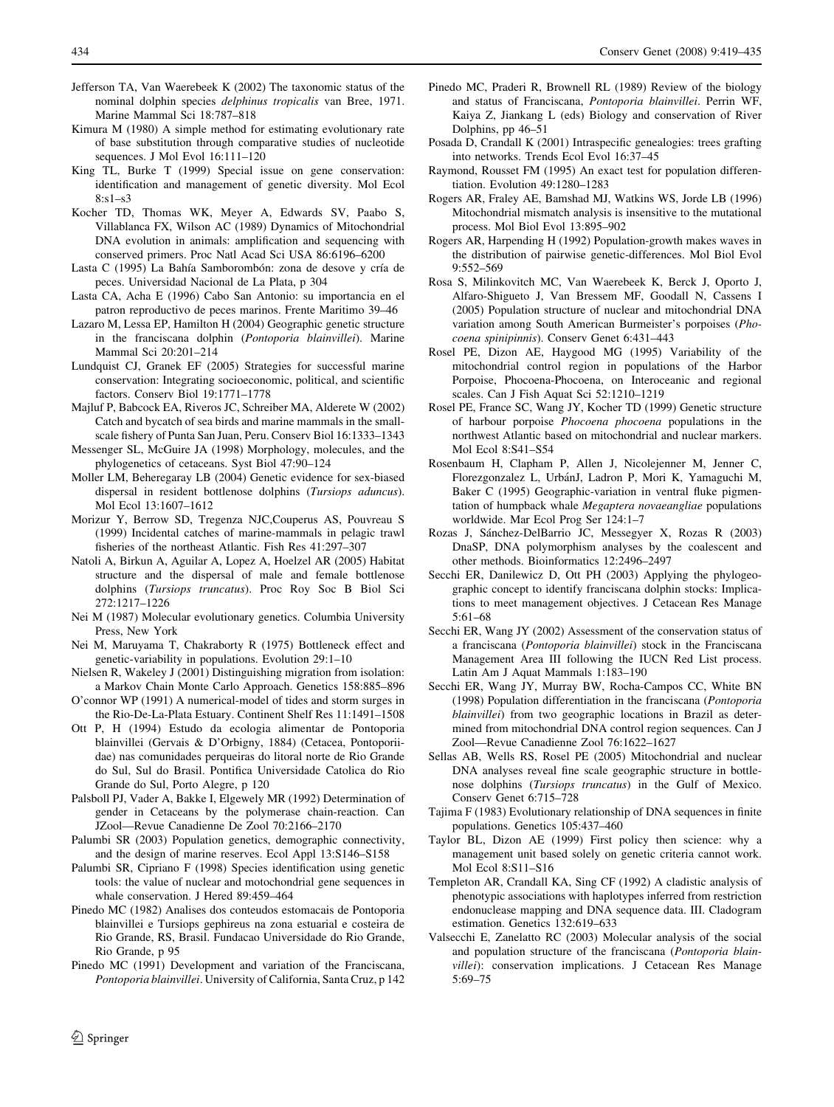- <span id="page-15-0"></span>Jefferson TA, Van Waerebeek K (2002) The taxonomic status of the nominal dolphin species delphinus tropicalis van Bree, 1971. Marine Mammal Sci 18:787–818
- Kimura M (1980) A simple method for estimating evolutionary rate of base substitution through comparative studies of nucleotide sequences. J Mol Evol 16:111–120
- King TL, Burke T (1999) Special issue on gene conservation: identification and management of genetic diversity. Mol Ecol 8:s1–s3
- Kocher TD, Thomas WK, Meyer A, Edwards SV, Paabo S, Villablanca FX, Wilson AC (1989) Dynamics of Mitochondrial DNA evolution in animals: amplification and sequencing with conserved primers. Proc Natl Acad Sci USA 86:6196–6200
- Lasta C (1995) La Bahía Samborombón: zona de desove y cría de peces. Universidad Nacional de La Plata, p 304
- Lasta CA, Acha E (1996) Cabo San Antonio: su importancia en el patron reproductivo de peces marinos. Frente Maritimo 39–46
- Lazaro M, Lessa EP, Hamilton H (2004) Geographic genetic structure in the franciscana dolphin (Pontoporia blainvillei). Marine Mammal Sci 20:201–214
- Lundquist CJ, Granek EF (2005) Strategies for successful marine conservation: Integrating socioeconomic, political, and scientific factors. Conserv Biol 19:1771–1778
- Majluf P, Babcock EA, Riveros JC, Schreiber MA, Alderete W (2002) Catch and bycatch of sea birds and marine mammals in the smallscale fishery of Punta San Juan, Peru. Conserv Biol 16:1333–1343
- Messenger SL, McGuire JA (1998) Morphology, molecules, and the phylogenetics of cetaceans. Syst Biol 47:90–124
- Moller LM, Beheregaray LB (2004) Genetic evidence for sex-biased dispersal in resident bottlenose dolphins (Tursiops aduncus). Mol Ecol 13:1607–1612
- Morizur Y, Berrow SD, Tregenza NJC,Couperus AS, Pouvreau S (1999) Incidental catches of marine-mammals in pelagic trawl fisheries of the northeast Atlantic. Fish Res 41:297–307
- Natoli A, Birkun A, Aguilar A, Lopez A, Hoelzel AR (2005) Habitat structure and the dispersal of male and female bottlenose dolphins (Tursiops truncatus). Proc Roy Soc B Biol Sci 272:1217–1226
- Nei M (1987) Molecular evolutionary genetics. Columbia University Press, New York
- Nei M, Maruyama T, Chakraborty R (1975) Bottleneck effect and genetic-variability in populations. Evolution 29:1–10
- Nielsen R, Wakeley J (2001) Distinguishing migration from isolation: a Markov Chain Monte Carlo Approach. Genetics 158:885–896
- O'connor WP (1991) A numerical-model of tides and storm surges in the Rio-De-La-Plata Estuary. Continent Shelf Res 11:1491–1508
- Ott P, H (1994) Estudo da ecologia alimentar de Pontoporia blainvillei (Gervais & D'Orbigny, 1884) (Cetacea, Pontoporiidae) nas comunidades perqueiras do litoral norte de Rio Grande do Sul, Sul do Brasil. Pontifica Universidade Catolica do Rio Grande do Sul, Porto Alegre, p 120
- Palsboll PJ, Vader A, Bakke I, Elgewely MR (1992) Determination of gender in Cetaceans by the polymerase chain-reaction. Can JZool—Revue Canadienne De Zool 70:2166–2170
- Palumbi SR (2003) Population genetics, demographic connectivity, and the design of marine reserves. Ecol Appl 13:S146–S158
- Palumbi SR, Cipriano F (1998) Species identification using genetic tools: the value of nuclear and motochondrial gene sequences in whale conservation. J Hered 89:459–464
- Pinedo MC (1982) Analises dos conteudos estomacais de Pontoporia blainvillei e Tursiops gephireus na zona estuarial e costeira de Rio Grande, RS, Brasil. Fundacao Universidade do Rio Grande, Rio Grande, p 95
- Pinedo MC (1991) Development and variation of the Franciscana, Pontoporia blainvillei. University of California, Santa Cruz, p 142
- Pinedo MC, Praderi R, Brownell RL (1989) Review of the biology and status of Franciscana, Pontoporia blainvillei. Perrin WF, Kaiya Z, Jiankang L (eds) Biology and conservation of River Dolphins, pp 46–51
- Posada D, Crandall K (2001) Intraspecific genealogies: trees grafting into networks. Trends Ecol Evol 16:37–45
- Raymond, Rousset FM (1995) An exact test for population differentiation. Evolution 49:1280–1283
- Rogers AR, Fraley AE, Bamshad MJ, Watkins WS, Jorde LB (1996) Mitochondrial mismatch analysis is insensitive to the mutational process. Mol Biol Evol 13:895–902
- Rogers AR, Harpending H (1992) Population-growth makes waves in the distribution of pairwise genetic-differences. Mol Biol Evol 9:552–569
- Rosa S, Milinkovitch MC, Van Waerebeek K, Berck J, Oporto J, Alfaro-Shigueto J, Van Bressem MF, Goodall N, Cassens I (2005) Population structure of nuclear and mitochondrial DNA variation among South American Burmeister's porpoises (Phocoena spinipinnis). Conserv Genet 6:431–443
- Rosel PE, Dizon AE, Haygood MG (1995) Variability of the mitochondrial control region in populations of the Harbor Porpoise, Phocoena-Phocoena, on Interoceanic and regional scales. Can J Fish Aquat Sci 52:1210–1219
- Rosel PE, France SC, Wang JY, Kocher TD (1999) Genetic structure of harbour porpoise Phocoena phocoena populations in the northwest Atlantic based on mitochondrial and nuclear markers. Mol Ecol 8:S41–S54
- Rosenbaum H, Clapham P, Allen J, Nicolejenner M, Jenner C, Florezgonzalez L, UrbánJ, Ladron P, Mori K, Yamaguchi M, Baker C (1995) Geographic-variation in ventral fluke pigmentation of humpback whale Megaptera novaeangliae populations worldwide. Mar Ecol Prog Ser 124:1–7
- Rozas J, Sánchez-DelBarrio JC, Messegyer X, Rozas R (2003) DnaSP, DNA polymorphism analyses by the coalescent and other methods. Bioinformatics 12:2496–2497
- Secchi ER, Danilewicz D, Ott PH (2003) Applying the phylogeographic concept to identify franciscana dolphin stocks: Implications to meet management objectives. J Cetacean Res Manage 5:61–68
- Secchi ER, Wang JY (2002) Assessment of the conservation status of a franciscana (Pontoporia blainvillei) stock in the Franciscana Management Area III following the IUCN Red List process. Latin Am J Aquat Mammals 1:183–190
- Secchi ER, Wang JY, Murray BW, Rocha-Campos CC, White BN (1998) Population differentiation in the franciscana (Pontoporia blainvillei) from two geographic locations in Brazil as determined from mitochondrial DNA control region sequences. Can J Zool—Revue Canadienne Zool 76:1622–1627
- Sellas AB, Wells RS, Rosel PE (2005) Mitochondrial and nuclear DNA analyses reveal fine scale geographic structure in bottlenose dolphins (Tursiops truncatus) in the Gulf of Mexico. Conserv Genet 6:715–728
- Tajima F (1983) Evolutionary relationship of DNA sequences in finite populations. Genetics 105:437–460
- Taylor BL, Dizon AE (1999) First policy then science: why a management unit based solely on genetic criteria cannot work. Mol Ecol 8:S11–S16
- Templeton AR, Crandall KA, Sing CF (1992) A cladistic analysis of phenotypic associations with haplotypes inferred from restriction endonuclease mapping and DNA sequence data. III. Cladogram estimation. Genetics 132:619–633
- Valsecchi E, Zanelatto RC (2003) Molecular analysis of the social and population structure of the franciscana (Pontoporia blainvillei): conservation implications. J Cetacean Res Manage 5:69–75